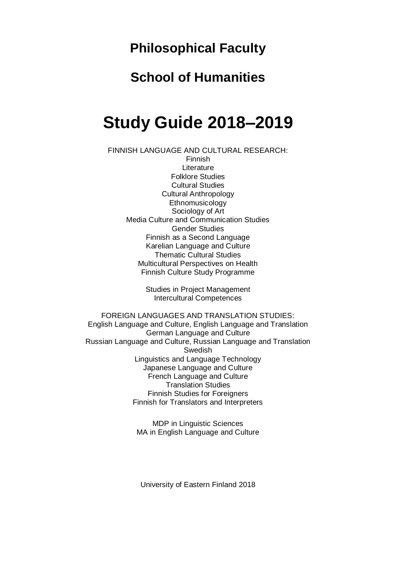# **Philosophical Faculty**

# **School of Humanities**

# **Study Guide 2018–2019**

FINNISH LANGUAGE AND CULTURAL RESEARCH: Finnish Literature Folklore Studies Cultural Studies Cultural Anthropology Ethnomusicology Sociology of Art Media Culture and Communication Studies Gender Studies Finnish as a Second Language Karelian Language and Culture Thematic Cultural Studies Multicultural Perspectives on Health Finnish Culture Study Programme

> Studies in Project Management Intercultural Competences

FOREIGN LANGUAGES AND TRANSLATION STUDIES: English Language and Culture, English Language and Translation German Language and Culture Russian Language and Culture, Russian Language and Translation Swedish Linguistics and Language Technology Japanese Language and Culture French Language and Culture Translation Studies Finnish Studies for Foreigners Finnish for Translators and Interpreters

> MDP in Linguistic Sciences MA in English Language and Culture

University of Eastern Finland 2018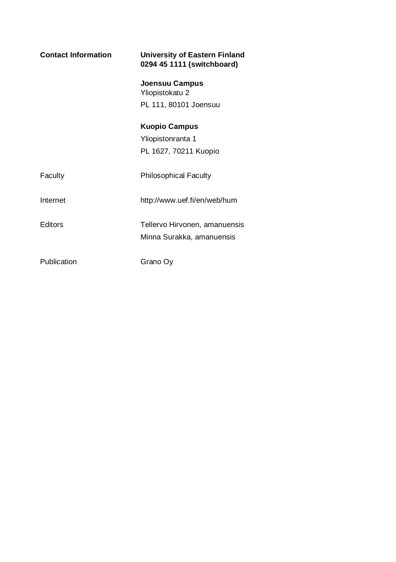| <b>Contact Information</b> | University of Eastern Finland<br>0294 45 1111 (switchboard) |
|----------------------------|-------------------------------------------------------------|
|                            | Joensuu Campus<br>Yliopistokatu 2                           |
|                            | PL 111, 80101 Joensuu                                       |
|                            | <b>Kuopio Campus</b>                                        |
|                            | Yliopistonranta 1                                           |
|                            | PL 1627, 70211 Kuopio                                       |
| Faculty                    | <b>Philosophical Faculty</b>                                |
| Internet                   | http://www.uef.fi/en/web/hum                                |
| Editors                    | Tellervo Hirvonen, amanuensis<br>Minna Surakka, amanuensis  |
| Publication                | Grano Ov                                                    |
|                            |                                                             |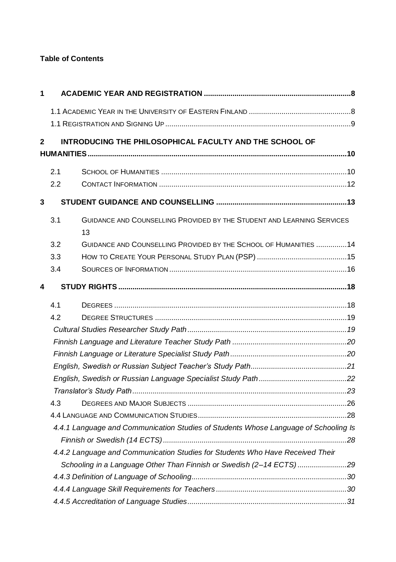# **Table of Contents**

| 1           |     |                                                                                     |  |
|-------------|-----|-------------------------------------------------------------------------------------|--|
|             |     |                                                                                     |  |
|             |     |                                                                                     |  |
| $\mathbf 2$ |     | INTRODUCING THE PHILOSOPHICAL FACULTY AND THE SCHOOL OF                             |  |
|             |     |                                                                                     |  |
|             | 2.1 |                                                                                     |  |
|             | 2.2 |                                                                                     |  |
| 3           |     |                                                                                     |  |
|             | 3.1 | <b>GUIDANCE AND COUNSELLING PROVIDED BY THE STUDENT AND LEARNING SERVICES</b><br>13 |  |
|             | 3.2 | GUIDANCE AND COUNSELLING PROVIDED BY THE SCHOOL OF HUMANITIES 14                    |  |
|             | 3.3 |                                                                                     |  |
|             | 3.4 |                                                                                     |  |
| 4           |     |                                                                                     |  |
|             | 4.1 |                                                                                     |  |
|             | 4.2 |                                                                                     |  |
|             |     |                                                                                     |  |
|             |     |                                                                                     |  |
|             |     |                                                                                     |  |
|             |     |                                                                                     |  |
|             |     |                                                                                     |  |
|             |     |                                                                                     |  |
|             | 4.3 |                                                                                     |  |
|             |     |                                                                                     |  |
|             |     | 4.4.1 Language and Communication Studies of Students Whose Language of Schooling Is |  |
|             |     |                                                                                     |  |
|             |     | 4.4.2 Language and Communication Studies for Students Who Have Received Their       |  |
|             |     | Schooling in a Language Other Than Finnish or Swedish (2-14 ECTS) 29                |  |
|             |     |                                                                                     |  |
|             |     |                                                                                     |  |
|             |     |                                                                                     |  |
|             |     |                                                                                     |  |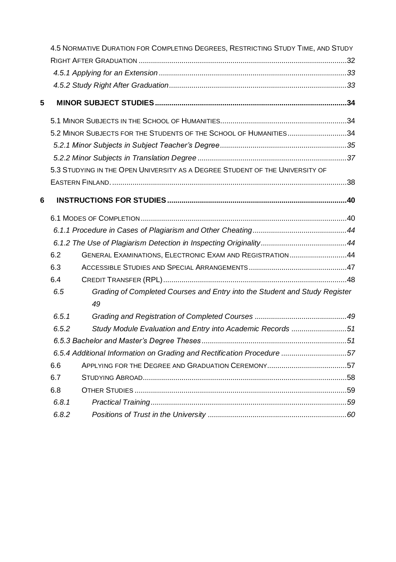|   |       | 4.5 NORMATIVE DURATION FOR COMPLETING DEGREES, RESTRICTING STUDY TIME, AND STUDY |  |
|---|-------|----------------------------------------------------------------------------------|--|
|   |       |                                                                                  |  |
|   |       |                                                                                  |  |
|   |       |                                                                                  |  |
| 5 |       |                                                                                  |  |
|   |       |                                                                                  |  |
|   |       | 5.2 MINOR SUBJECTS FOR THE STUDENTS OF THE SCHOOL OF HUMANITIES34                |  |
|   |       |                                                                                  |  |
|   |       |                                                                                  |  |
|   |       | 5.3 STUDYING IN THE OPEN UNIVERSITY AS A DEGREE STUDENT OF THE UNIVERSITY OF     |  |
|   |       |                                                                                  |  |
| 6 |       |                                                                                  |  |
|   |       |                                                                                  |  |
|   |       |                                                                                  |  |
|   |       |                                                                                  |  |
|   | 6.2   | GENERAL EXAMINATIONS, ELECTRONIC EXAM AND REGISTRATION44                         |  |
|   | 6.3   |                                                                                  |  |
|   | 6.4   |                                                                                  |  |
|   | 6.5   | Grading of Completed Courses and Entry into the Student and Study Register<br>49 |  |
|   | 6.5.1 |                                                                                  |  |
|   | 6.5.2 | Study Module Evaluation and Entry into Academic Records 51                       |  |
|   |       |                                                                                  |  |
|   |       | 6.5.4 Additional Information on Grading and Rectification Procedure 57           |  |
|   | 6.6   |                                                                                  |  |
|   | 6.7   |                                                                                  |  |
|   | 6.8   |                                                                                  |  |
|   | 6.8.1 |                                                                                  |  |
|   | 6.8.2 |                                                                                  |  |
|   |       |                                                                                  |  |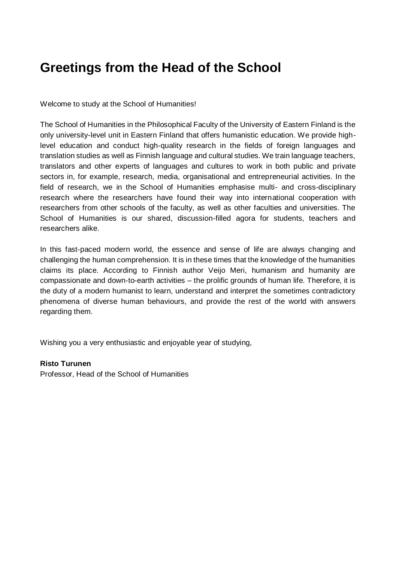# **Greetings from the Head of the School**

Welcome to study at the School of Humanities!

The School of Humanities in the Philosophical Faculty of the University of Eastern Finland is the only university-level unit in Eastern Finland that offers humanistic education. We provide highlevel education and conduct high-quality research in the fields of foreign languages and translation studies as well as Finnish language and cultural studies. We train language teachers, translators and other experts of languages and cultures to work in both public and private sectors in, for example, research, media, organisational and entrepreneurial activities. In the field of research, we in the School of Humanities emphasise multi- and cross-disciplinary research where the researchers have found their way into international cooperation with researchers from other schools of the faculty, as well as other faculties and universities. The School of Humanities is our shared, discussion-filled agora for students, teachers and researchers alike.

In this fast-paced modern world, the essence and sense of life are always changing and challenging the human comprehension. It is in these times that the knowledge of the humanities claims its place. According to Finnish author Veijo Meri, humanism and humanity are compassionate and down-to-earth activities – the prolific grounds of human life. Therefore, it is the duty of a modern humanist to learn, understand and interpret the sometimes contradictory phenomena of diverse human behaviours, and provide the rest of the world with answers regarding them.

Wishing you a very enthusiastic and enjoyable year of studying,

#### **Risto Turunen**

Professor, Head of the School of Humanities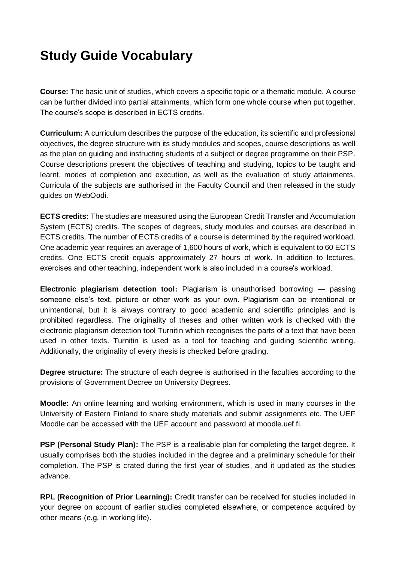# **Study Guide Vocabulary**

**Course:** The basic unit of studies, which covers a specific topic or a thematic module. A course can be further divided into partial attainments, which form one whole course when put together. The course's scope is described in ECTS credits.

**Curriculum:** A curriculum describes the purpose of the education, its scientific and professional objectives, the degree structure with its study modules and scopes, course descriptions as well as the plan on guiding and instructing students of a subject or degree programme on their PSP. Course descriptions present the objectives of teaching and studying, topics to be taught and learnt, modes of completion and execution, as well as the evaluation of study attainments. Curricula of the subjects are authorised in the Faculty Council and then released in the study guides on WebOodi.

**ECTS credits:** The studies are measured using the European Credit Transfer and Accumulation System (ECTS) credits. The scopes of degrees, study modules and courses are described in ECTS credits. The number of ECTS credits of a course is determined by the required workload. One academic year requires an average of 1,600 hours of work, which is equivalent to 60 ECTS credits. One ECTS credit equals approximately 27 hours of work. In addition to lectures, exercises and other teaching, independent work is also included in a course's workload.

**Electronic plagiarism detection tool:** Plagiarism is unauthorised borrowing — passing someone else's text, picture or other work as your own. Plagiarism can be intentional or unintentional, but it is always contrary to good academic and scientific principles and is prohibited regardless. The originality of theses and other written work is checked with the electronic plagiarism detection tool Turnitin which recognises the parts of a text that have been used in other texts. Turnitin is used as a tool for teaching and guiding scientific writing. Additionally, the originality of every thesis is checked before grading.

**Degree structure:** The structure of each degree is authorised in the faculties according to the provisions of Government Decree on University Degrees.

**Moodle:** An online learning and working environment, which is used in many courses in the University of Eastern Finland to share study materials and submit assignments etc. The UEF Moodle can be accessed with the UEF account and password at moodle.uef.fi.

**PSP (Personal Study Plan):** The PSP is a realisable plan for completing the target degree. It usually comprises both the studies included in the degree and a preliminary schedule for their completion. The PSP is crated during the first year of studies, and it updated as the studies advance.

**RPL (Recognition of Prior Learning):** Credit transfer can be received for studies included in your degree on account of earlier studies completed elsewhere, or competence acquired by other means (e.g. in working life).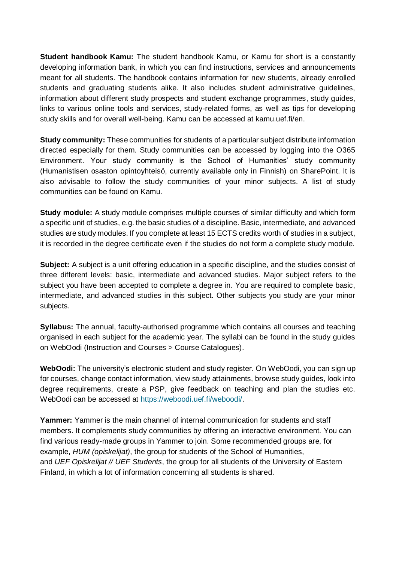**Student handbook Kamu:** The student handbook Kamu, or Kamu for short is a constantly developing information bank, in which you can find instructions, services and announcements meant for all students. The handbook contains information for new students, already enrolled students and graduating students alike. It also includes student administrative guidelines, information about different study prospects and student exchange programmes, study guides, links to various online tools and services, study-related forms, as well as tips for developing study skills and for overall well-being. Kamu can be accessed at kamu.uef.fi/en.

**Study community:** These communities for students of a particular subject distribute information directed especially for them. Study communities can be accessed by logging into the O365 Environment. Your study community is the School of Humanities' study community (Humanistisen osaston opintoyhteisö, currently available only in Finnish) on SharePoint. It is also advisable to follow the study communities of your minor subjects. A list of study communities can be found on Kamu.

**Study module:** A study module comprises multiple courses of similar difficulty and which form a specific unit of studies, e.g. the basic studies of a discipline. Basic, intermediate, and advanced studies are study modules. If you complete at least 15 ECTS credits worth of studies in a subject, it is recorded in the degree certificate even if the studies do not form a complete study module.

**Subject:** A subject is a unit offering education in a specific discipline, and the studies consist of three different levels: basic, intermediate and advanced studies. Major subject refers to the subject you have been accepted to complete a degree in. You are required to complete basic, intermediate, and advanced studies in this subject. Other subjects you study are your minor subjects.

**Syllabus:** The annual, faculty-authorised programme which contains all courses and teaching organised in each subject for the academic year. The syllabi can be found in the study guides on WebOodi (Instruction and Courses > Course Catalogues).

**WebOodi:** The university's electronic student and study register. On WebOodi, you can sign up for courses, change contact information, view study attainments, browse study guides, look into degree requirements, create a PSP, give feedback on teaching and plan the studies etc. WebOodi can be accessed at [https://weboodi.uef.fi/weboodi/.](https://weboodi.uef.fi/weboodi/)

**Yammer:** Yammer is the main channel of internal communication for students and staff members. It complements study communities by offering an interactive environment. You can find various ready-made groups in Yammer to join. Some recommended groups are, for example, *HUM (opiskelijat)*, the group for students of the School of Humanities, and *UEF Opiskelijat // UEF Students*, the group for all students of the University of Eastern Finland, in which a lot of information concerning all students is shared.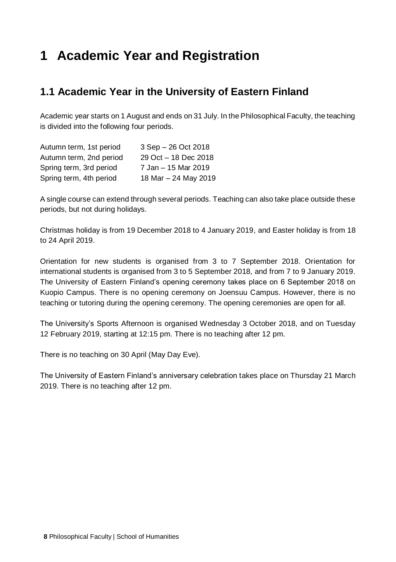# **1 Academic Year and Registration**

# **1.1 Academic Year in the University of Eastern Finland**

Academic year starts on 1 August and ends on 31 July. In the Philosophical Faculty, the teaching is divided into the following four periods.

| Autumn term, 1st period | 3 Sep - 26 Oct 2018  |
|-------------------------|----------------------|
| Autumn term, 2nd period | 29 Oct - 18 Dec 2018 |
| Spring term, 3rd period | 7 Jan - 15 Mar 2019  |
| Spring term, 4th period | 18 Mar - 24 May 2019 |

A single course can extend through several periods. Teaching can also take place outside these periods, but not during holidays.

Christmas holiday is from 19 December 2018 to 4 January 2019, and Easter holiday is from 18 to 24 April 2019.

Orientation for new students is organised from 3 to 7 September 2018. Orientation for international students is organised from 3 to 5 September 2018, and from 7 to 9 January 2019. The University of Eastern Finland's opening ceremony takes place on 6 September 2018 on Kuopio Campus. There is no opening ceremony on Joensuu Campus. However, there is no teaching or tutoring during the opening ceremony. The opening ceremonies are open for all.

The University's Sports Afternoon is organised Wednesday 3 October 2018, and on Tuesday 12 February 2019, starting at 12:15 pm. There is no teaching after 12 pm.

There is no teaching on 30 April (May Day Eve).

The University of Eastern Finland's anniversary celebration takes place on Thursday 21 March 2019. There is no teaching after 12 pm.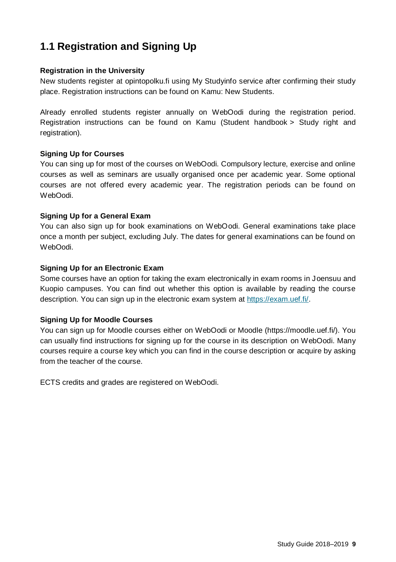# **1.1 Registration and Signing Up**

### **Registration in the University**

New students register at opintopolku.fi using My Studyinfo service after confirming their study place. Registration instructions can be found on Kamu: New Students.

Already enrolled students register annually on WebOodi during the registration period. Registration instructions can be found on Kamu (Student handbook > Study right and registration).

#### **Signing Up for Courses**

You can sing up for most of the courses on WebOodi. Compulsory lecture, exercise and online courses as well as seminars are usually organised once per academic year. Some optional courses are not offered every academic year. The registration periods can be found on WebOodi.

### **Signing Up for a General Exam**

You can also sign up for book examinations on WebOodi. General examinations take place once a month per subject, excluding July. The dates for general examinations can be found on WebOodi.

#### **Signing Up for an Electronic Exam**

Some courses have an option for taking the exam electronically in exam rooms in Joensuu and Kuopio campuses. You can find out whether this option is available by reading the course description. You can sign up in the electronic exam system at [https://exam.uef.fi/.](https://exam.uef.fi/)

#### **Signing Up for Moodle Courses**

You can sign up for Moodle courses either on WebOodi or Moodle (https://moodle.uef.fi/). You can usually find instructions for signing up for the course in its description on WebOodi. Many courses require a course key which you can find in the course description or acquire by asking from the teacher of the course.

ECTS credits and grades are registered on WebOodi.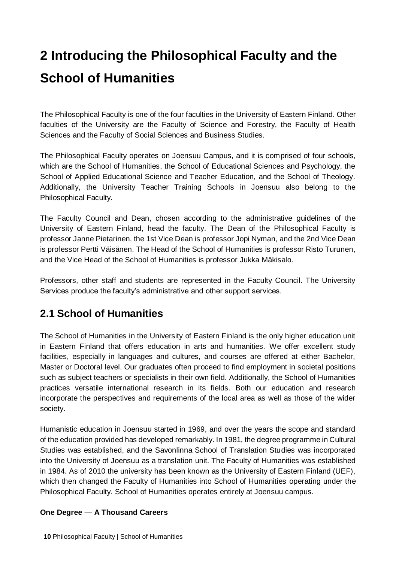# **2 Introducing the Philosophical Faculty and the School of Humanities**

The Philosophical Faculty is one of the four faculties in the University of Eastern Finland. Other faculties of the University are the Faculty of Science and Forestry, the Faculty of Health Sciences and the Faculty of Social Sciences and Business Studies.

The Philosophical Faculty operates on Joensuu Campus, and it is comprised of four schools, which are the School of Humanities, the School of Educational Sciences and Psychology, the School of Applied Educational Science and Teacher Education, and the School of Theology. Additionally, the University Teacher Training Schools in Joensuu also belong to the Philosophical Faculty.

The Faculty Council and Dean, chosen according to the administrative guidelines of the University of Eastern Finland, head the faculty. The Dean of the Philosophical Faculty is professor Janne Pietarinen, the 1st Vice Dean is professor Jopi Nyman, and the 2nd Vice Dean is professor Pertti Väisänen. The Head of the School of Humanities is professor Risto Turunen, and the Vice Head of the School of Humanities is professor Jukka Mäkisalo.

Professors, other staff and students are represented in the Faculty Council. The University Services produce the faculty's administrative and other support services.

# **2.1 School of Humanities**

The School of Humanities in the University of Eastern Finland is the only higher education unit in Eastern Finland that offers education in arts and humanities. We offer excellent study facilities, especially in languages and cultures, and courses are offered at either Bachelor, Master or Doctoral level. Our graduates often proceed to find employment in societal positions such as subject teachers or specialists in their own field. Additionally, the School of Humanities practices versatile international research in its fields. Both our education and research incorporate the perspectives and requirements of the local area as well as those of the wider society.

Humanistic education in Joensuu started in 1969, and over the years the scope and standard of the education provided has developed remarkably. In 1981, the degree programme in Cultural Studies was established, and the Savonlinna School of Translation Studies was incorporated into the University of Joensuu as a translation unit. The Faculty of Humanities was established in 1984. As of 2010 the university has been known as the University of Eastern Finland (UEF), which then changed the Faculty of Humanities into School of Humanities operating under the Philosophical Faculty. School of Humanities operates entirely at Joensuu campus.

## **One Degree** — **A Thousand Careers**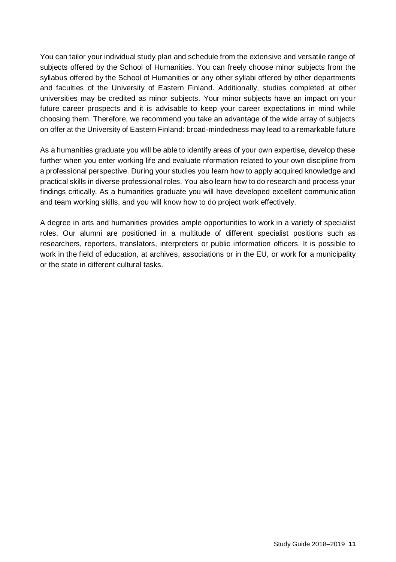You can tailor your individual study plan and schedule from the extensive and versatile range of subjects offered by the School of Humanities. You can freely choose minor subjects from the syllabus offered by the School of Humanities or any other syllabi offered by other departments and faculties of the University of Eastern Finland. Additionally, studies completed at other universities may be credited as minor subjects. Your minor subjects have an impact on your future career prospects and it is advisable to keep your career expectations in mind while choosing them. Therefore, we recommend you take an advantage of the wide array of subjects on offer at the University of Eastern Finland: broad-mindedness may lead to a remarkable future

As a humanities graduate you will be able to identify areas of your own expertise, develop these further when you enter working life and evaluate nformation related to your own discipline from a professional perspective. During your studies you learn how to apply acquired knowledge and practical skills in diverse professional roles. You also learn how to do research and process your findings critically. As a humanities graduate you will have developed excellent communication and team working skills, and you will know how to do project work effectively.

A degree in arts and humanities provides ample opportunities to work in a variety of specialist roles. Our alumni are positioned in a multitude of different specialist positions such as researchers, reporters, translators, interpreters or public information officers. It is possible to work in the field of education, at archives, associations or in the EU, or work for a municipality or the state in different cultural tasks.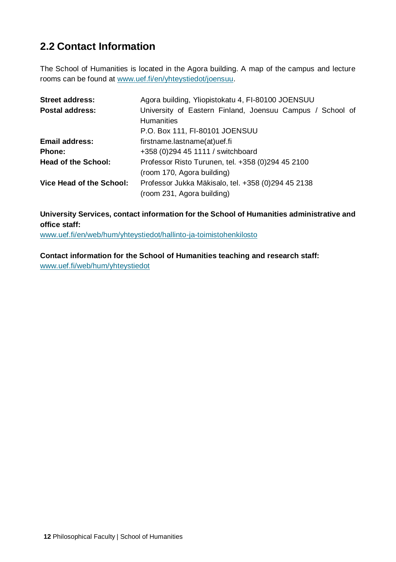# **2.2 Contact Information**

The School of Humanities is located in the Agora building. A map of the campus and lecture rooms can be found at [www.uef.fi/en/yhteystiedot/joensuu.](http://www.uef.fi/yhteystiedot/joensuu)

| <b>Street address:</b>     | Agora building, Yliopistokatu 4, FI-80100 JOENSUU         |
|----------------------------|-----------------------------------------------------------|
| Postal address:            | University of Eastern Finland, Joensuu Campus / School of |
|                            | <b>Humanities</b>                                         |
|                            | P.O. Box 111, FI-80101 JOENSUU                            |
| <b>Email address:</b>      | firstname.lastname(at)uef.fi                              |
| Phone:                     | +358 (0) 294 45 1111 / switchboard                        |
| <b>Head of the School:</b> | Professor Risto Turunen, tel. +358 (0)294 45 2100         |
|                            | (room 170, Agora building)                                |
| Vice Head of the School:   | Professor Jukka Mäkisalo, tel. +358 (0)294 45 2138        |
|                            | (room 231, Agora building)                                |

**University Services, contact information for the School of Humanities administrative and office staff:** 

[www.uef.fi/en/web/hum/yhteystiedot/hallinto-ja-toimistohenkilosto](http://www.uef.fi/web/hum/yhteystiedot/hallinto-ja-toimistohenkilosto)

**Contact information for the School of Humanities teaching and research staff:** [www.uef.fi/web/hum/yhteystiedot](http://www.uef.fi/web/hum/yhteystiedot)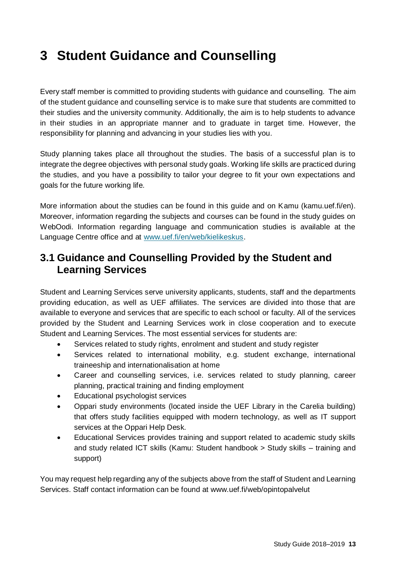# **3 Student Guidance and Counselling**

Every staff member is committed to providing students with guidance and counselling. The aim of the student guidance and counselling service is to make sure that students are committed to their studies and the university community. Additionally, the aim is to help students to advance in their studies in an appropriate manner and to graduate in target time. However, the responsibility for planning and advancing in your studies lies with you.

Study planning takes place all throughout the studies. The basis of a successful plan is to integrate the degree objectives with personal study goals. Working life skills are practiced during the studies, and you have a possibility to tailor your degree to fit your own expectations and goals for the future working life.

More information about the studies can be found in this guide and on Kamu (kamu.uef.fi/en). Moreover, information regarding the subjects and courses can be found in the study guides on WebOodi. Information regarding language and communication studies is available at the Language Centre office and at [www.uef.fi/en/web/kielikeskus.](http://www.uef.fi/en/web/kielikeskus)

# **3.1 Guidance and Counselling Provided by the Student and Learning Services**

Student and Learning Services serve university applicants, students, staff and the departments providing education, as well as UEF affiliates. The services are divided into those that are available to everyone and services that are specific to each school or faculty. All of the services provided by the Student and Learning Services work in close cooperation and to execute Student and Learning Services. The most essential services for students are:

- Services related to study rights, enrolment and student and study register
- Services related to international mobility, e.g. student exchange, international traineeship and internationalisation at home
- Career and counselling services, i.e. services related to study planning, career planning, practical training and finding employment
- Educational psychologist services
- Oppari study environments (located inside the UEF Library in the Carelia building) that offers study facilities equipped with modern technology, as well as IT support services at the Oppari Help Desk.
- Educational Services provides training and support related to academic study skills and study related ICT skills (Kamu: Student handbook > Study skills – training and support)

You may request help regarding any of the subjects above from the staff of Student and Learning Services. Staff contact information can be found at www.uef.fi/web/opintopalvelut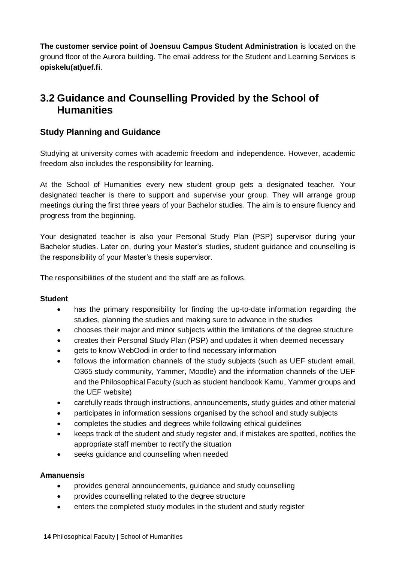**The customer service point of Joensuu Campus Student Administration** is located on the ground floor of the Aurora building. The email address for the Student and Learning Services is **opiskelu(at)uef.fi**.

# **3.2 Guidance and Counselling Provided by the School of Humanities**

# **Study Planning and Guidance**

Studying at university comes with academic freedom and independence. However, academic freedom also includes the responsibility for learning.

At the School of Humanities every new student group gets a designated teacher. Your designated teacher is there to support and supervise your group. They will arrange group meetings during the first three years of your Bachelor studies. The aim is to ensure fluency and progress from the beginning.

Your designated teacher is also your Personal Study Plan (PSP) supervisor during your Bachelor studies. Later on, during your Master's studies, student guidance and counselling is the responsibility of your Master's thesis supervisor.

The responsibilities of the student and the staff are as follows.

## **Student**

- has the primary responsibility for finding the up-to-date information regarding the studies, planning the studies and making sure to advance in the studies
- chooses their major and minor subjects within the limitations of the degree structure
- creates their Personal Study Plan (PSP) and updates it when deemed necessary
- gets to know WebOodi in order to find necessary information
- follows the information channels of the study subjects (such as UEF student email, O365 study community, Yammer, Moodle) and the information channels of the UEF and the Philosophical Faculty (such as student handbook Kamu, Yammer groups and the UEF website)
- carefully reads through instructions, announcements, study guides and other material
- participates in information sessions organised by the school and study subjects
- completes the studies and degrees while following ethical guidelines
- keeps track of the student and study register and, if mistakes are spotted, notifies the appropriate staff member to rectify the situation
- seeks guidance and counselling when needed

## **Amanuensis**

- provides general announcements, guidance and study counselling
- provides counselling related to the degree structure
- enters the completed study modules in the student and study register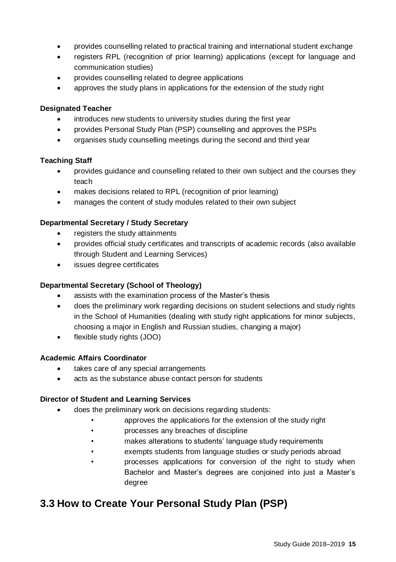- provides counselling related to practical training and international student exchange
- registers RPL (recognition of prior learning) applications (except for language and communication studies)
- provides counselling related to degree applications
- approves the study plans in applications for the extension of the study right

### **Designated Teacher**

- introduces new students to university studies during the first year
- provides Personal Study Plan (PSP) counselling and approves the PSPs
- organises study counselling meetings during the second and third year

## **Teaching Staff**

- provides guidance and counselling related to their own subject and the courses they teach
- makes decisions related to RPL (recognition of prior learning)
- manages the content of study modules related to their own subject

### **Departmental Secretary / Study Secretary**

- registers the study attainments
- provides official study certificates and transcripts of academic records (also available through Student and Learning Services)
- issues degree certificates

### **Departmental Secretary (School of Theology)**

- assists with the examination process of the Master's thesis
- does the preliminary work regarding decisions on student selections and study rights in the School of Humanities (dealing with study right applications for minor subjects, choosing a major in English and Russian studies, changing a major)
- flexible study rights (JOO)

#### **Academic Affairs Coordinator**

- takes care of any special arrangements
- acts as the substance abuse contact person for students

## **Director of Student and Learning Services**

- does the preliminary work on decisions regarding students:
	- approves the applications for the extension of the study right
	- processes any breaches of discipline
	- makes alterations to students' language study requirements
	- exempts students from language studies or study periods abroad
	- processes applications for conversion of the right to study when Bachelor and Master's degrees are conjoined into just a Master's degree

# **3.3 How to Create Your Personal Study Plan (PSP)**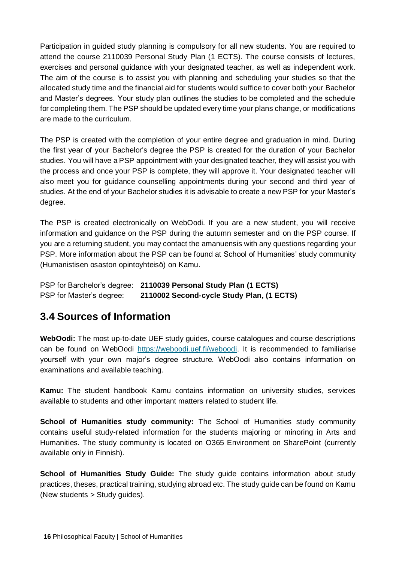Participation in guided study planning is compulsory for all new students. You are required to attend the course 2110039 Personal Study Plan (1 ECTS). The course consists of lectures, exercises and personal guidance with your designated teacher, as well as independent work. The aim of the course is to assist you with planning and scheduling your studies so that the allocated study time and the financial aid for students would suffice to cover both your Bachelor and Master's degrees. Your study plan outlines the studies to be completed and the schedule for completing them. The PSP should be updated every time your plans change, or modifications are made to the curriculum.

The PSP is created with the completion of your entire degree and graduation in mind. During the first year of your Bachelor's degree the PSP is created for the duration of your Bachelor studies. You will have a PSP appointment with your designated teacher, they will assist you with the process and once your PSP is complete, they will approve it. Your designated teacher will also meet you for guidance counselling appointments during your second and third year of studies. At the end of your Bachelor studies it is advisable to create a new PSP for your Master's degree.

The PSP is created electronically on WebOodi. If you are a new student, you will receive information and guidance on the PSP during the autumn semester and on the PSP course. If you are a returning student, you may contact the amanuensis with any questions regarding your PSP. More information about the PSP can be found at School of Humanities' study community (Humanistisen osaston opintoyhteisö) on Kamu.

PSP for Barchelor's degree: **2110039 Personal Study Plan (1 ECTS)** PSP for Master's degree: **2110002 Second-cycle Study Plan, (1 ECTS)**

# **3.4 Sources of Information**

**WebOodi:** The most up-to-date UEF study guides, course catalogues and course descriptions can be found on WebOodi [https://weboodi.uef.fi/weboodi.](https://weboodi.uef.fi/weboodi) It is recommended to familiarise yourself with your own major's degree structure. WebOodi also contains information on examinations and available teaching.

**Kamu:** The student handbook Kamu contains information on university studies, services available to students and other important matters related to student life.

**School of Humanities study community:** The School of Humanities study community contains useful study-related information for the students majoring or minoring in Arts and Humanities. The study community is located on O365 Environment on SharePoint (currently available only in Finnish).

**School of Humanities Study Guide:** The study guide contains information about study practices, theses, practical training, studying abroad etc. The study guide can be found on Kamu (New students > Study guides).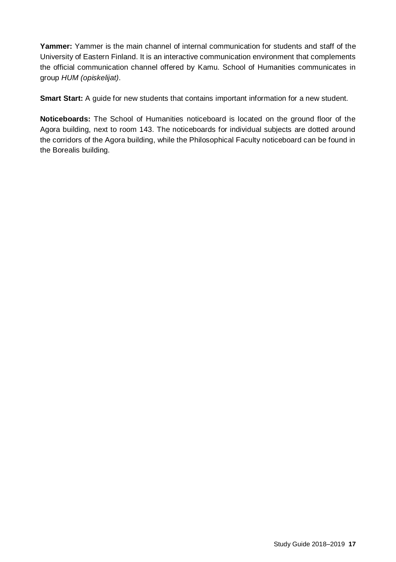**Yammer:** Yammer is the main channel of internal communication for students and staff of the University of Eastern Finland. It is an interactive communication environment that complements the official communication channel offered by Kamu. School of Humanities communicates in group *HUM (opiskelijat)*.

**Smart Start:** A guide for new students that contains important information for a new student.

**Noticeboards:** The School of Humanities noticeboard is located on the ground floor of the Agora building, next to room 143. The noticeboards for individual subjects are dotted around the corridors of the Agora building, while the Philosophical Faculty noticeboard can be found in the Borealis building.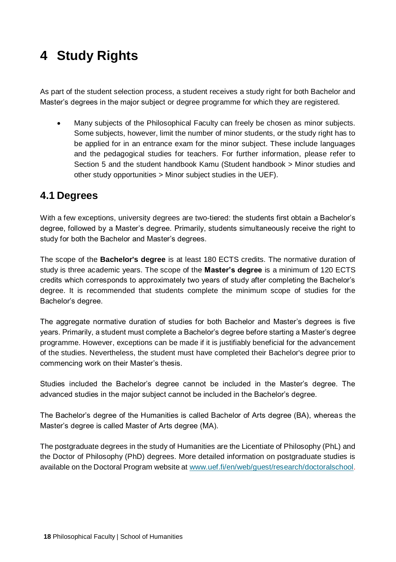# **4 Study Rights**

As part of the student selection process, a student receives a study right for both Bachelor and Master's degrees in the major subject or degree programme for which they are registered.

• Many subjects of the Philosophical Faculty can freely be chosen as minor subjects. Some subjects, however, limit the number of minor students, or the study right has to be applied for in an entrance exam for the minor subject. These include languages and the pedagogical studies for teachers. For further information, please refer to Section 5 and the student handbook Kamu (Student handbook > Minor studies and other study opportunities > Minor subject studies in the UEF).

# **4.1 Degrees**

With a few exceptions, university degrees are two-tiered: the students first obtain a Bachelor's degree, followed by a Master's degree. Primarily, students simultaneously receive the right to study for both the Bachelor and Master's degrees.

The scope of the **Bachelor's degree** is at least 180 ECTS credits. The normative duration of study is three academic years. The scope of the **Master's degree** is a minimum of 120 ECTS credits which corresponds to approximately two years of study after completing the Bachelor's degree. It is recommended that students complete the minimum scope of studies for the Bachelor's degree.

The aggregate normative duration of studies for both Bachelor and Master's degrees is five years. Primarily, a student must complete a Bachelor's degree before starting a Master's degree programme. However, exceptions can be made if it is justifiably beneficial for the advancement of the studies. Nevertheless, the student must have completed their Bachelor's degree prior to commencing work on their Master's thesis.

Studies included the Bachelor's degree cannot be included in the Master's degree. The advanced studies in the major subject cannot be included in the Bachelor's degree.

The Bachelor's degree of the Humanities is called Bachelor of Arts degree (BA), whereas the Master's degree is called Master of Arts degree (MA).

The postgraduate degrees in the study of Humanities are the Licentiate of Philosophy (PhL) and the Doctor of Philosophy (PhD) degrees. More detailed information on postgraduate studies is available on the Doctoral Program website at www.uef.fi/en/web/quest/research/doctoralschool.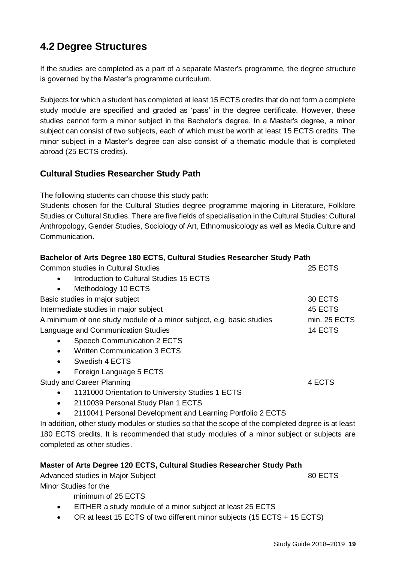# **4.2 Degree Structures**

If the studies are completed as a part of a separate Master's programme, the degree structure is governed by the Master's programme curriculum.

Subjects for which a student has completed at least 15 ECTS credits that do not form a complete study module are specified and graded as 'pass' in the degree certificate. However, these studies cannot form a minor subject in the Bachelor's degree. In a Master's degree, a minor subject can consist of two subjects, each of which must be worth at least 15 ECTS credits. The minor subject in a Master's degree can also consist of a thematic module that is completed abroad (25 ECTS credits).

# **Cultural Studies Researcher Study Path**

The following students can choose this study path:

Students chosen for the Cultural Studies degree programme majoring in Literature, Folklore Studies or Cultural Studies. There are five fields of specialisation in the Cultural Studies: Cultural Anthropology, Gender Studies, Sociology of Art, Ethnomusicology as well as Media Culture and Communication.

| Bachelor of Arts Degree 180 ECTS, Cultural Studies Researcher Study Path                          |              |
|---------------------------------------------------------------------------------------------------|--------------|
| Common studies in Cultural Studies                                                                | 25 ECTS      |
| Introduction to Cultural Studies 15 ECTS                                                          |              |
| Methodology 10 ECTS                                                                               |              |
| Basic studies in major subject                                                                    | 30 ECTS      |
| Intermediate studies in major subject                                                             | 45 ECTS      |
| A minimum of one study module of a minor subject, e.g. basic studies                              | min. 25 ECTS |
| Language and Communication Studies                                                                | 14 ECTS      |
| Speech Communication 2 ECTS                                                                       |              |
| <b>Written Communication 3 ECTS</b>                                                               |              |
| Swedish 4 ECTS<br>٠                                                                               |              |
| Foreign Language 5 ECTS                                                                           |              |
| Study and Career Planning                                                                         | 4 ECTS       |
| 1131000 Orientation to University Studies 1 ECTS                                                  |              |
| 2110039 Personal Study Plan 1 ECTS                                                                |              |
| 2110041 Personal Development and Learning Portfolio 2 ECTS                                        |              |
| In addition, other study modules or studies so that the scope of the completed degree is at least |              |
| 180 ECTS credits. It is recommended that study modules of a minor subject or subjects are         |              |
| completed as other studies.                                                                       |              |
| Master of Arts Degree 120 ECTS, Cultural Studies Researcher Study Path                            |              |
|                                                                                                   | 00F0T0       |

Advanced studies in Major Subject 80 ECTS Minor Studies for the

minimum of 25 ECTS

- EITHER a study module of a minor subject at least 25 ECTS
- OR at least 15 ECTS of two different minor subjects (15 ECTS + 15 ECTS)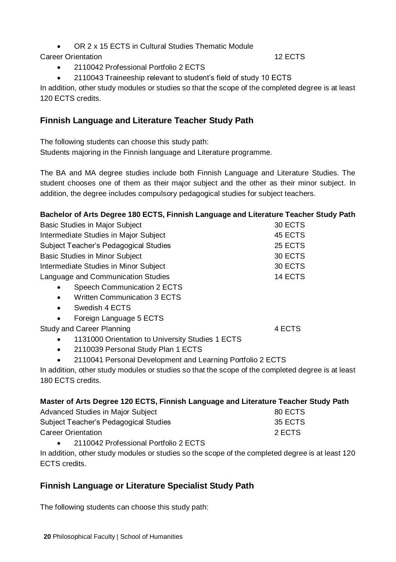• OR 2 x 15 ECTS in Cultural Studies Thematic Module

# Career Orientation 12 ECTS

- 2110042 Professional Portfolio 2 ECTS
- 2110043 Traineeship relevant to student's field of study 10 ECTS

In addition, other study modules or studies so that the scope of the completed degree is at least 120 ECTS credits.

# **Finnish Language and Literature Teacher Study Path**

The following students can choose this study path: Students majoring in the Finnish language and Literature programme.

The BA and MA degree studies include both Finnish Language and Literature Studies. The student chooses one of them as their major subject and the other as their minor subject. In addition, the degree includes compulsory pedagogical studies for subject teachers.

| Bachelor of Arts Degree 180 ECTS, Finnish Language and Literature Teacher Study Path              |         |
|---------------------------------------------------------------------------------------------------|---------|
| <b>Basic Studies in Major Subject</b>                                                             | 30 ECTS |
| Intermediate Studies in Major Subject                                                             | 45 ECTS |
| Subject Teacher's Pedagogical Studies                                                             | 25 ECTS |
| <b>Basic Studies in Minor Subject</b>                                                             | 30 ECTS |
| Intermediate Studies in Minor Subject                                                             | 30 ECTS |
| Language and Communication Studies                                                                | 14 ECTS |
| Speech Communication 2 ECTS<br>$\bullet$                                                          |         |
| <b>Written Communication 3 ECTS</b><br>$\bullet$                                                  |         |
| Swedish 4 ECTS<br>$\bullet$                                                                       |         |
| Foreign Language 5 ECTS<br>$\bullet$                                                              |         |
| Study and Career Planning                                                                         | 4 ECTS  |
| 1131000 Orientation to University Studies 1 ECTS                                                  |         |
| 2110039 Personal Study Plan 1 ECTS<br>٠                                                           |         |
| 2110041 Personal Development and Learning Portfolio 2 ECTS                                        |         |
| In addition, other study modules or studies so that the scope of the completed degree is at least |         |
| 180 FCTS credits.                                                                                 |         |

|  | Master of Arts Degree 120 ECTS, Finnish Language and Literature Teacher Study Path |  |
|--|------------------------------------------------------------------------------------|--|

| Advanced Studies in Major Subject     | 80 ECTS |
|---------------------------------------|---------|
| Subject Teacher's Pedagogical Studies | 35 ECTS |
| Career Orientation                    | 2 ECTS  |
|                                       |         |

• 2110042 Professional Portfolio 2 ECTS

In addition, other study modules or studies so the scope of the completed degree is at least 120 ECTS credits.

# **Finnish Language or Literature Specialist Study Path**

The following students can choose this study path: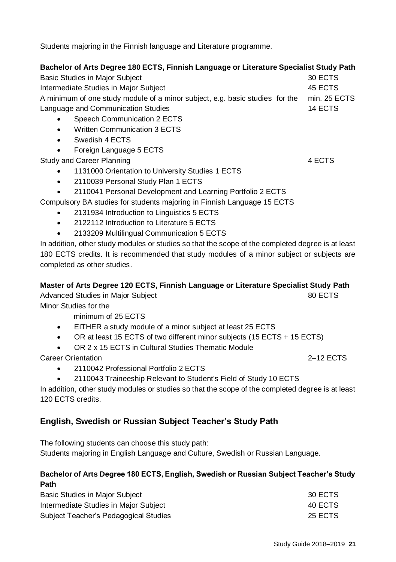Students majoring in the Finnish language and Literature programme.

### **Bachelor of Arts Degree 180 ECTS, Finnish Language or Literature Specialist Study Path**

Basic Studies in Major Subject 30 ECTS Intermediate Studies in Major Subject 45 ECTS A minimum of one study module of a minor subject, e.g. basic studies for the min. 25 ECTS Language and Communication Studies 14 ECTS

- Speech Communication 2 ECTS
- Written Communication 3 ECTS
- Swedish 4 FCTS
- Foreign Language 5 ECTS

Study and Career Planning **4 ECTS** 4 ECTS

- 1131000 Orientation to University Studies 1 ECTS
- 2110039 Personal Study Plan 1 ECTS
- 2110041 Personal Development and Learning Portfolio 2 ECTS

Compulsory BA studies for students majoring in Finnish Language 15 ECTS

- 2131934 Introduction to Linguistics 5 ECTS
- 2122112 Introduction to Literature 5 ECTS
- 2133209 Multilingual Communication 5 ECTS

In addition, other study modules or studies so that the scope of the completed degree is at least 180 ECTS credits. It is recommended that study modules of a minor subject or subjects are completed as other studies.

## **Master of Arts Degree 120 ECTS, Finnish Language or Literature Specialist Study Path**

Advanced Studies in Major Subject **80 ECTS** 80 ECTS

Minor Studies for the

minimum of 25 ECTS

- EITHER a study module of a minor subject at least 25 ECTS
- OR at least 15 ECTS of two different minor subjects (15 ECTS + 15 ECTS)
- OR 2 x 15 ECTS in Cultural Studies Thematic Module

Career Orientation 2–12 ECTS

- 2110042 Professional Portfolio 2 ECTS
- 2110043 Traineeship Relevant to Student's Field of Study 10 ECTS

In addition, other study modules or studies so that the scope of the completed degree is at least 120 ECTS credits.

# **English, Swedish or Russian Subject Teacher's Study Path**

The following students can choose this study path:

Students majoring in English Language and Culture, Swedish or Russian Language.

## **Bachelor of Arts Degree 180 ECTS, English, Swedish or Russian Subject Teacher's Study Path**

| Basic Studies in Major Subject        | 30 ECTS |
|---------------------------------------|---------|
| Intermediate Studies in Major Subject | 40 ECTS |
| Subject Teacher's Pedagogical Studies | 25 ECTS |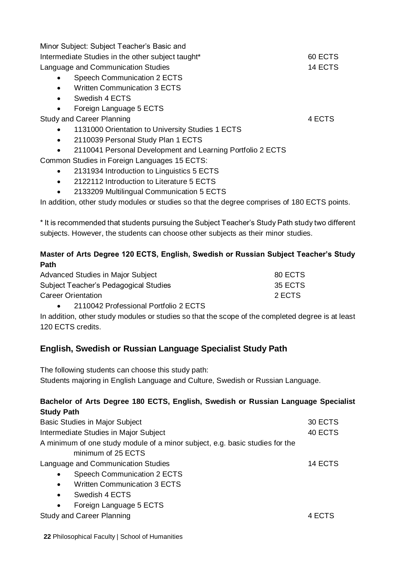|           | Minor Subject: Subject Teacher's Basic and                 |         |
|-----------|------------------------------------------------------------|---------|
|           | Intermediate Studies in the other subject taught*          | 60 ECTS |
|           | Language and Communication Studies                         | 14 ECTS |
| ٠         | Speech Communication 2 ECTS                                |         |
| $\bullet$ | <b>Written Communication 3 ECTS</b>                        |         |
| ٠         | Swedish 4 ECTS                                             |         |
| ٠         | Foreign Language 5 ECTS                                    |         |
|           | Study and Career Planning                                  | 4 ECTS  |
| ٠         | 1131000 Orientation to University Studies 1 ECTS           |         |
| ٠         | 2110039 Personal Study Plan 1 ECTS                         |         |
| $\bullet$ | 2110041 Personal Development and Learning Portfolio 2 ECTS |         |
|           | Common Studies in Foreign Languages 15 ECTS:               |         |
| ٠         | 2131934 Introduction to Linguistics 5 ECTS                 |         |
| ٠         | 2122112 Introduction to Literature 5 ECTS                  |         |
|           |                                                            |         |

• 2133209 Multilingual Communication 5 ECTS

In addition, other study modules or studies so that the degree comprises of 180 ECTS points.

\* It is recommended that students pursuing the Subject Teacher's Study Path study two different subjects. However, the students can choose other subjects as their minor studies.

# **Master of Arts Degree 120 ECTS, English, Swedish or Russian Subject Teacher's Study Path**

| Advanced Studies in Major Subject     | 80 ECTS |
|---------------------------------------|---------|
| Subject Teacher's Pedagogical Studies | 35 ECTS |
| Career Orientation                    | 2 ECTS  |

• 2110042 Professional Portfolio 2 ECTS

In addition, other study modules or studies so that the scope of the completed degree is at least 120 ECTS credits.

# **English, Swedish or Russian Language Specialist Study Path**

The following students can choose this study path: Students majoring in English Language and Culture, Swedish or Russian Language.

# **Bachelor of Arts Degree 180 ECTS, English, Swedish or Russian Language Specialist Study Path**

| <b>Basic Studies in Major Subject</b>                                        | 30 ECTS |
|------------------------------------------------------------------------------|---------|
| Intermediate Studies in Major Subject                                        | 40 ECTS |
| A minimum of one study module of a minor subject, e.g. basic studies for the |         |
| minimum of 25 ECTS                                                           |         |
| Language and Communication Studies                                           | 14 ECTS |
| Speech Communication 2 ECTS<br>٠                                             |         |
|                                                                              |         |

- Written Communication 3 ECTS
- Swedish 4 FCTS
- Foreign Language 5 ECTS

Study and Career Planning **4 ECTS** 4 ECTS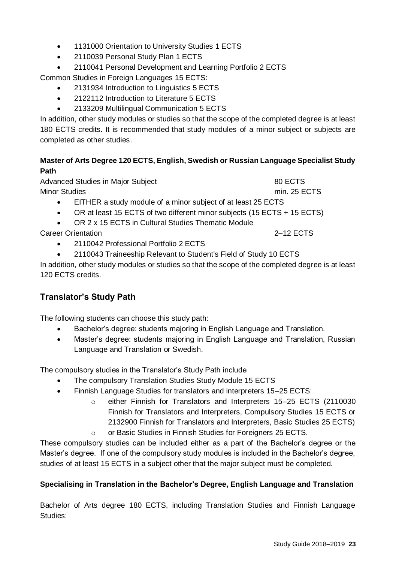- 1131000 Orientation to University Studies 1 ECTS
- 2110039 Personal Study Plan 1 ECTS
- 2110041 Personal Development and Learning Portfolio 2 ECTS

Common Studies in Foreign Languages 15 ECTS:

- 2131934 Introduction to Linguistics 5 ECTS
- 2122112 Introduction to Literature 5 ECTS
- 2133209 Multilingual Communication 5 ECTS

In addition, other study modules or studies so that the scope of the completed degree is at least 180 ECTS credits. It is recommended that study modules of a minor subject or subjects are completed as other studies.

## **Master of Arts Degree 120 ECTS, English, Swedish or Russian Language Specialist Study Path**

| Advanced Studies in Major Subject                                                    | 80 ECTS      |
|--------------------------------------------------------------------------------------|--------------|
| <b>Minor Studies</b>                                                                 | min. 25 ECTS |
| EITHER a study module of a minor subject of at least 25 ECTS<br>$\bullet$            |              |
| OR at least 15 ECTS of two different minor subjects (15 ECTS + 15 ECTS)<br>$\bullet$ |              |
| OR 2 x 15 ECTS in Cultural Studies Thematic Module<br>$\bullet$                      |              |
| <b>Career Orientation</b>                                                            | 2–12 ECTS    |

- 2110042 Professional Portfolio 2 ECTS
- 2110043 Traineeship Relevant to Student's Field of Study 10 ECTS

In addition, other study modules or studies so that the scope of the completed degree is at least 120 ECTS credits.

# **Translator's Study Path**

The following students can choose this study path:

- Bachelor's degree: students majoring in English Language and Translation.
- Master's degree: students majoring in English Language and Translation, Russian Language and Translation or Swedish.

The compulsory studies in the Translator's Study Path include

- The compulsory Translation Studies Study Module 15 ECTS
- Finnish Language Studies for translators and interpreters 15–25 ECTS:
	- o either Finnish for Translators and Interpreters 15–25 ECTS (2110030 Finnish for Translators and Interpreters, Compulsory Studies 15 ECTS or 2132900 Finnish for Translators and Interpreters, Basic Studies 25 ECTS) o or Basic Studies in Finnish Studies for Foreigners 25 ECTS.

These compulsory studies can be included either as a part of the Bachelor's degree or the Master's degree. If one of the compulsory study modules is included in the Bachelor's degree, studies of at least 15 ECTS in a subject other that the major subject must be completed.

## **Specialising in Translation in the Bachelor's Degree, English Language and Translation**

Bachelor of Arts degree 180 ECTS, including Translation Studies and Finnish Language Studies: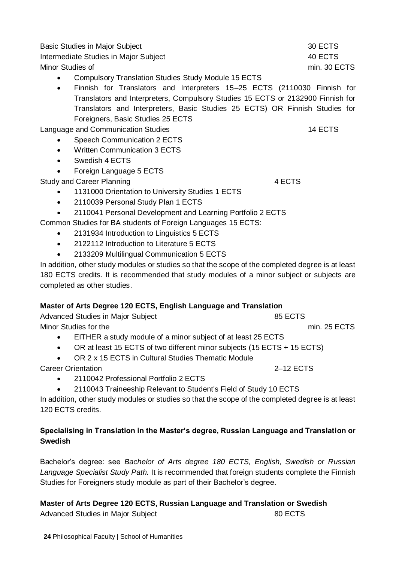Basic Studies in Major Subject 30 ECTS Intermediate Studies in Major Subject 40 ECTS Minor Studies of the minimum of the minimum of minimum of minimum of minimum of minimum of the minimum of the minimum of the minimum of the minimum of the minimum of the minimum of the minimum of the minimum of the minimum

- Compulsory Translation Studies Study Module 15 ECTS
- Finnish for Translators and Interpreters 15–25 ECTS (2110030 Finnish for Translators and Interpreters, Compulsory Studies 15 ECTS or 2132900 Finnish for Translators and Interpreters, Basic Studies 25 ECTS) OR Finnish Studies for Foreigners, Basic Studies 25 ECTS

Language and Communication Studies 14 ECTS

- Speech Communication 2 ECTS
- Written Communication 3 ECTS
- Swedish 4 FCTS
- Foreign Language 5 ECTS

Study and Career Planning 4 ECTS

- 1131000 Orientation to University Studies 1 ECTS
- 2110039 Personal Study Plan 1 ECTS
- 2110041 Personal Development and Learning Portfolio 2 ECTS

Common Studies for BA students of Foreign Languages 15 ECTS:

- 2131934 Introduction to Linguistics 5 ECTS
- 2122112 Introduction to Literature 5 ECTS
- 2133209 Multilingual Communication 5 ECTS

In addition, other study modules or studies so that the scope of the completed degree is at least 180 ECTS credits. It is recommended that study modules of a minor subject or subjects are completed as other studies.

## **Master of Arts Degree 120 ECTS, English Language and Translation**

Advanced Studies in Major Subject 85 ECTS Minor Studies for the min. 25 ECTS

- EITHER a study module of a minor subject of at least 25 ECTS
- OR at least 15 ECTS of two different minor subjects (15 ECTS + 15 ECTS)
- OR 2 x 15 ECTS in Cultural Studies Thematic Module

Career Orientation 2–12 ECTS

- 2110042 Professional Portfolio 2 FCTS
- 2110043 Traineeship Relevant to Student's Field of Study 10 ECTS

In addition, other study modules or studies so that the scope of the completed degree is at least 120 ECTS credits.

## **Specialising in Translation in the Master's degree, Russian Language and Translation or Swedish**

Bachelor's degree: see *Bachelor of Arts degree 180 ECTS, English, Swedish or Russian Language Specialist Study Path.* It is recommended that foreign students complete the Finnish Studies for Foreigners study module as part of their Bachelor's degree.

**Master of Arts Degree 120 ECTS, Russian Language and Translation or Swedish**  Advanced Studies in Major Subject 80 ECTS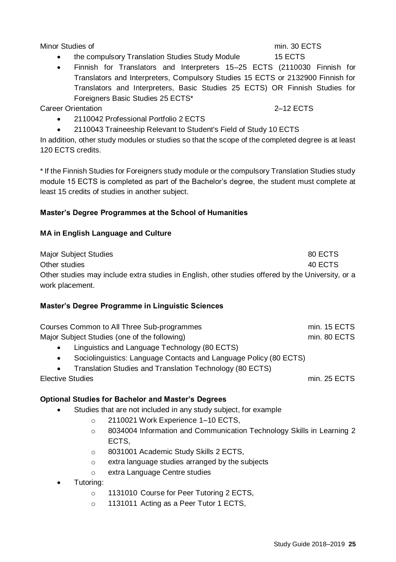Minor Studies of the minimum of the minimum of minimum of minimum of minimum of the minimum of the minimum of the minimum of the minimum of the minimum of the minimum of the minimum of the minimum of the minimum of the min

# • the compulsory Translation Studies Study Module 15 ECTS

• Finnish for Translators and Interpreters 15–25 ECTS (2110030 Finnish for Translators and Interpreters, Compulsory Studies 15 ECTS or 2132900 Finnish for Translators and Interpreters, Basic Studies 25 ECTS) OR Finnish Studies for Foreigners Basic Studies 25 ECTS\*

Career Orientation 2–12 ECTS

- 2110042 Professional Portfolio 2 ECTS
- 2110043 Traineeship Relevant to Student's Field of Study 10 ECTS

In addition, other study modules or studies so that the scope of the completed degree is at least 120 ECTS credits.

\* If the Finnish Studies for Foreigners study module or the compulsory Translation Studies study module 15 ECTS is completed as part of the Bachelor's degree, the student must complete at least 15 credits of studies in another subject.

## **Master's Degree Programmes at the School of Humanities**

## **MA in English Language and Culture**

Major Subject Studies 80 ECTS Other studies 40 ECTS 40 ECTS Other studies may include extra studies in English, other studies offered by the University, or a work placement.

## **Master's Degree Programme in Linguistic Sciences**

| Courses Common to All Three Sub-programmes    | min. 15 ECTS |
|-----------------------------------------------|--------------|
| Major Subject Studies (one of the following)  | min. 80 ECTS |
| Linguistics and Language Technology (80 ECTS) |              |

- Linguistics and Language Technology (80 ECTS)
- Sociolinguistics: Language Contacts and Language Policy (80 ECTS)
- Translation Studies and Translation Technology (80 ECTS)

## Elective Studies min. 25 ECTS

# **Optional Studies for Bachelor and Master's Degrees**

- Studies that are not included in any study subject, for example
	- o 2110021 Work Experience 1–10 ECTS,
	- o 8034004 Information and Communication Technology Skills in Learning 2 ECTS,
	- o 8031001 Academic Study Skills 2 ECTS,
	- o extra language studies arranged by the subjects
	- o extra Language Centre studies
- Tutoring:
	- o 1131010 Course for Peer Tutoring 2 ECTS,
	- o 1131011 Acting as a Peer Tutor 1 ECTS.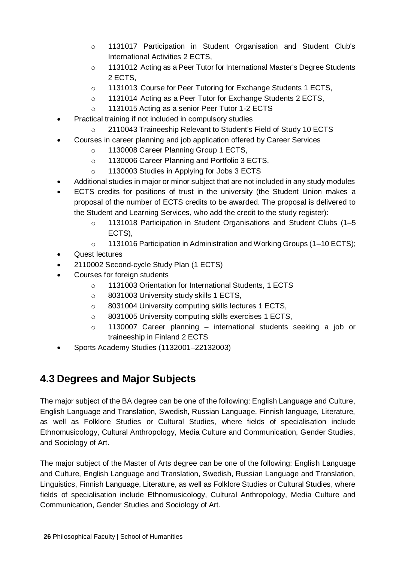- o 1131017 Participation in Student Organisation and Student Club's International Activities 2 ECTS,
- o 1131012 Acting as a Peer Tutor for International Master's Degree Students 2 ECTS,
- o 1131013 Course for Peer Tutoring for Exchange Students 1 ECTS,
- o 1131014 Acting as a Peer Tutor for Exchange Students 2 ECTS,
- o 1131015 Acting as a senior Peer Tutor 1-2 ECTS
- Practical training if not included in compulsory studies
	- o 2110043 Traineeship Relevant to Student's Field of Study 10 ECTS
	- Courses in career planning and job application offered by Career Services
		- o 1130008 Career Planning Group 1 ECTS,
		- o 1130006 Career Planning and Portfolio 3 ECTS,
		- o 1130003 Studies in Applying for Jobs 3 ECTS
- Additional studies in major or minor subject that are not included in any study modules
- ECTS credits for positions of trust in the university (the Student Union makes a proposal of the number of ECTS credits to be awarded. The proposal is delivered to the Student and Learning Services, who add the credit to the study register):
	- o 1131018 Participation in Student Organisations and Student Clubs (1–5 ECTS),
	- o 1131016 Participation in Administration and Working Groups (1–10 ECTS);
- Quest lectures
- 2110002 Second-cycle Study Plan (1 ECTS)
- Courses for foreign students
	- o 1131003 Orientation for International Students, 1 ECTS
	- o 8031003 University study skills 1 ECTS,
	- o 8031004 University computing skills lectures 1 ECTS,
	- o 8031005 University computing skills exercises 1 ECTS,
	- o 1130007 Career planning international students seeking a job or traineeship in Finland 2 ECTS
- Sports Academy Studies (1132001–22132003)

# **4.3 Degrees and Major Subjects**

The major subject of the BA degree can be one of the following: English Language and Culture, English Language and Translation, Swedish, Russian Language, Finnish language, Literature, as well as Folklore Studies or Cultural Studies, where fields of specialisation include Ethnomusicology, Cultural Anthropology, Media Culture and Communication, Gender Studies, and Sociology of Art.

The major subject of the Master of Arts degree can be one of the following: English Language and Culture, English Language and Translation, Swedish, Russian Language and Translation, Linguistics, Finnish Language, Literature, as well as Folklore Studies or Cultural Studies, where fields of specialisation include Ethnomusicology, Cultural Anthropology, Media Culture and Communication, Gender Studies and Sociology of Art.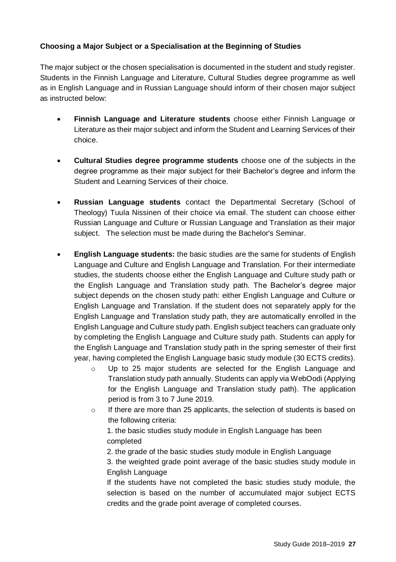## **Choosing a Major Subject or a Specialisation at the Beginning of Studies**

The major subject or the chosen specialisation is documented in the student and study register. Students in the Finnish Language and Literature, Cultural Studies degree programme as well as in English Language and in Russian Language should inform of their chosen major subject as instructed below:

- **Finnish Language and Literature students** choose either Finnish Language or Literature as their major subject and inform the Student and Learning Services of their choice.
- **Cultural Studies degree programme students** choose one of the subjects in the degree programme as their major subject for their Bachelor's degree and inform the Student and Learning Services of their choice.
- **Russian Language students** contact the Departmental Secretary (School of Theology) Tuula Nissinen of their choice via email. The student can choose either Russian Language and Culture or Russian Language and Translation as their major subject. The selection must be made during the Bachelor's Seminar.
- **English Language students:** the basic studies are the same for students of English Language and Culture and English Language and Translation. For their intermediate studies, the students choose either the English Language and Culture study path or the English Language and Translation study path. The Bachelor's degree major subject depends on the chosen study path: either English Language and Culture or English Language and Translation. If the student does not separately apply for the English Language and Translation study path, they are automatically enrolled in the English Language and Culture study path. English subject teachers can graduate only by completing the English Language and Culture study path. Students can apply for the English Language and Translation study path in the spring semester of their first year, having completed the English Language basic study module (30 ECTS credits).
	- o Up to 25 major students are selected for the English Language and Translation study path annually. Students can apply via WebOodi (Applying for the English Language and Translation study path). The application period is from 3 to 7 June 2019.
	- $\circ$  If there are more than 25 applicants, the selection of students is based on the following criteria:

1. the basic studies study module in English Language has been completed

2. the grade of the basic studies study module in English Language

3. the weighted grade point average of the basic studies study module in English Language

If the students have not completed the basic studies study module, the selection is based on the number of accumulated major subject ECTS credits and the grade point average of completed courses.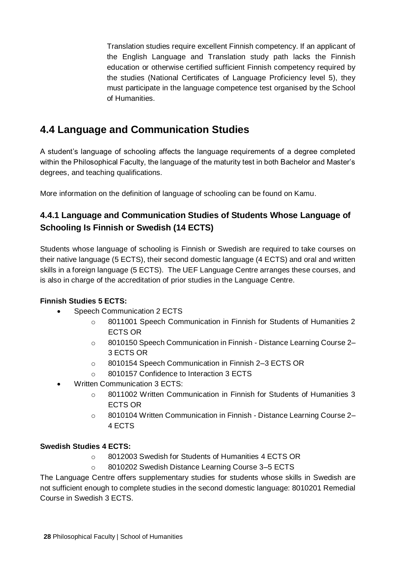Translation studies require excellent Finnish competency. If an applicant of the English Language and Translation study path lacks the Finnish education or otherwise certified sufficient Finnish competency required by the studies (National Certificates of Language Proficiency level 5), they must participate in the language competence test organised by the School of Humanities.

# **4.4 Language and Communication Studies**

A student's language of schooling affects the language requirements of a degree completed within the Philosophical Faculty, the language of the maturity test in both Bachelor and Master's degrees, and teaching qualifications.

More information on the definition of language of schooling can be found on Kamu.

# **4.4.1 Language and Communication Studies of Students Whose Language of Schooling Is Finnish or Swedish (14 ECTS)**

Students whose language of schooling is Finnish or Swedish are required to take courses on their native language (5 ECTS), their second domestic language (4 ECTS) and oral and written skills in a foreign language (5 ECTS). The UEF Language Centre arranges these courses, and is also in charge of the accreditation of prior studies in the Language Centre.

# **Finnish Studies 5 ECTS:**

- Speech Communication 2 ECTS
	- o 8011001 Speech Communication in Finnish for Students of Humanities 2 ECTS OR
	- o 8010150 Speech Communication in Finnish Distance Learning Course 2– 3 ECTS OR
	- o 8010154 Speech Communication in Finnish 2–3 ECTS OR
	- 8010157 Confidence to Interaction 3 ECTS
- Written Communication 3 ECTS:
	- o 8011002 Written Communication in Finnish for Students of Humanities 3 ECTS OR
	- o 8010104 Written Communication in Finnish Distance Learning Course 2– 4 ECTS

## **Swedish Studies 4 ECTS:**

- o 8012003 Swedish for Students of Humanities 4 ECTS OR
- o 8010202 Swedish Distance Learning Course 3–5 ECTS

The Language Centre offers supplementary studies for students whose skills in Swedish are not sufficient enough to complete studies in the second domestic language: 8010201 Remedial Course in Swedish 3 ECTS.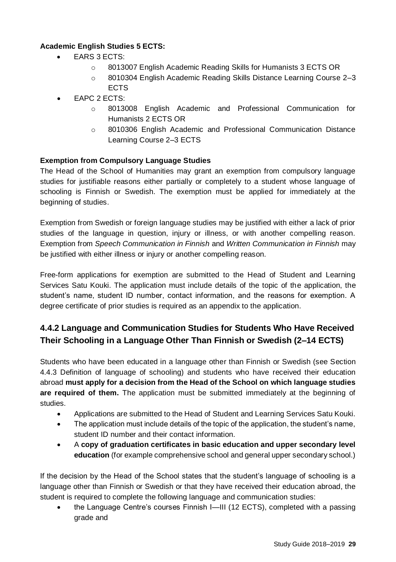# **Academic English Studies 5 ECTS:**

- EARS 3 ECTS:
	- o 8013007 English Academic Reading Skills for Humanists 3 ECTS OR
	- o 8010304 English Academic Reading Skills Distance Learning Course 2–3 **ECTS**
- EAPC 2 ECTS:
	- o 8013008 English Academic and Professional Communication for Humanists 2 ECTS OR
	- o 8010306 English Academic and Professional Communication Distance Learning Course 2–3 ECTS

## **Exemption from Compulsory Language Studies**

The Head of the School of Humanities may grant an exemption from compulsory language studies for justifiable reasons either partially or completely to a student whose language of schooling is Finnish or Swedish. The exemption must be applied for immediately at the beginning of studies.

Exemption from Swedish or foreign language studies may be justified with either a lack of prior studies of the language in question, injury or illness, or with another compelling reason. Exemption from *Speech Communication in Finnish* and *Written Communication in Finnish* may be justified with either illness or injury or another compelling reason.

Free-form applications for exemption are submitted to the Head of Student and Learning Services Satu Kouki. The application must include details of the topic of the application, the student's name, student ID number, contact information, and the reasons for exemption. A degree certificate of prior studies is required as an appendix to the application.

# **4.4.2 Language and Communication Studies for Students Who Have Received Their Schooling in a Language Other Than Finnish or Swedish (2–14 ECTS)**

Students who have been educated in a language other than Finnish or Swedish (see Section 4.4.3 Definition of language of schooling) and students who have received their education abroad **must apply for a decision from the Head of the School on which language studies are required of them.** The application must be submitted immediately at the beginning of studies.

- Applications are submitted to the Head of Student and Learning Services Satu Kouki.
- The application must include details of the topic of the application, the student's name, student ID number and their contact information.
- A **copy of graduation certificates in basic education and upper secondary level education** (for example comprehensive school and general upper secondary school.)

If the decision by the Head of the School states that the student's language of schooling is a language other than Finnish or Swedish or that they have received their education abroad, the student is required to complete the following language and communication studies:

• the Language Centre's courses Finnish I—III (12 ECTS), completed with a passing grade and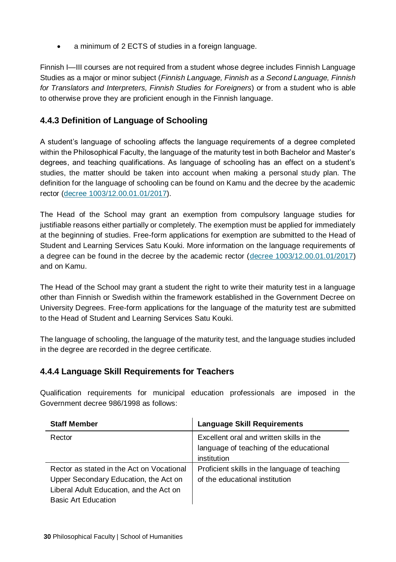• a minimum of 2 ECTS of studies in a foreign language.

Finnish I—III courses are not required from a student whose degree includes Finnish Language Studies as a major or minor subject (*Finnish Language, Finnish as a Second Language, Finnish for Translators and Interpreters, Finnish Studies for Foreigners*) or from a student who is able to otherwise prove they are proficient enough in the Finnish language.

# **4.4.3 Definition of Language of Schooling**

A student's language of schooling affects the language requirements of a degree completed within the Philosophical Faculty, the language of the maturity test in both Bachelor and Master's degrees, and teaching qualifications. As language of schooling has an effect on a student's studies, the matter should be taken into account when making a personal study plan. The definition for the language of schooling can be found on Kamu and the decree by the academic rector [\(decree 1003/12.00.01.01/2017\)](https://kamu.uef.fi/wp-content/uploads/2017/09/koulusivistyskieli_ja_tutkinnon_kielitaitovaatimukset.pdf).

The Head of the School may grant an exemption from compulsory language studies for justifiable reasons either partially or completely. The exemption must be applied for immediately at the beginning of studies. Free-form applications for exemption are submitted to the Head of Student and Learning Services Satu Kouki. More information on the language requirements of a degree can be found in the decree by the academic rector [\(decree 1003/12.00.01.01/2017\)](https://kamu.uef.fi/wp-content/uploads/2017/09/koulusivistyskieli_ja_tutkinnon_kielitaitovaatimukset.pdf) and on Kamu.

The Head of the School may grant a student the right to write their maturity test in a language other than Finnish or Swedish within the framework established in the Government Decree on University Degrees. Free-form applications for the language of the maturity test are submitted to the Head of Student and Learning Services Satu Kouki.

The language of schooling, the language of the maturity test, and the language studies included in the degree are recorded in the degree certificate.

# **4.4.4 Language Skill Requirements for Teachers**

Qualification requirements for municipal education professionals are imposed in the Government decree 986/1998 as follows:

| <b>Staff Member</b>                       | <b>Language Skill Requirements</b>            |
|-------------------------------------------|-----------------------------------------------|
| Rector                                    | Excellent oral and written skills in the      |
|                                           | language of teaching of the educational       |
|                                           | institution                                   |
| Rector as stated in the Act on Vocational | Proficient skills in the language of teaching |
| Upper Secondary Education, the Act on     | of the educational institution                |
| Liberal Adult Education, and the Act on   |                                               |
| <b>Basic Art Education</b>                |                                               |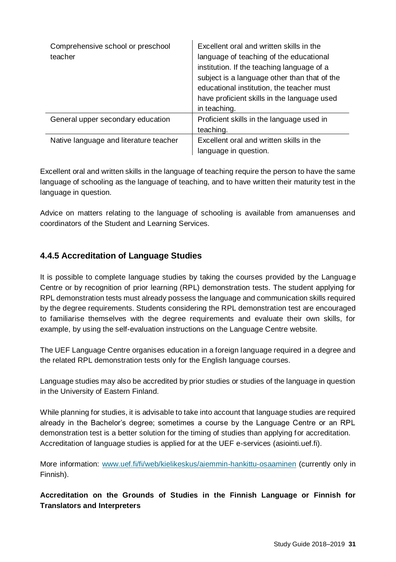| Comprehensive school or preschool<br>teacher | Excellent oral and written skills in the<br>language of teaching of the educational<br>institution. If the teaching language of a<br>subject is a language other than that of the<br>educational institution, the teacher must<br>have proficient skills in the language used<br>in teaching. |
|----------------------------------------------|-----------------------------------------------------------------------------------------------------------------------------------------------------------------------------------------------------------------------------------------------------------------------------------------------|
| General upper secondary education            | Proficient skills in the language used in<br>teaching.                                                                                                                                                                                                                                        |
| Native language and literature teacher       | Excellent oral and written skills in the<br>language in question.                                                                                                                                                                                                                             |

Excellent oral and written skills in the language of teaching require the person to have the same language of schooling as the language of teaching, and to have written their maturity test in the language in question.

Advice on matters relating to the language of schooling is available from amanuenses and coordinators of the Student and Learning Services.

# **4.4.5 Accreditation of Language Studies**

It is possible to complete language studies by taking the courses provided by the Language Centre or by recognition of prior learning (RPL) demonstration tests. The student applying for RPL demonstration tests must already possess the language and communication skills required by the degree requirements. Students considering the RPL demonstration test are encouraged to familiarise themselves with the degree requirements and evaluate their own skills, for example, by using the self-evaluation instructions on the Language Centre website.

The UEF Language Centre organises education in a foreign language required in a degree and the related RPL demonstration tests only for the English language courses.

Language studies may also be accredited by prior studies or studies of the language in question in the University of Eastern Finland.

While planning for studies, it is advisable to take into account that language studies are required already in the Bachelor's degree; sometimes a course by the Language Centre or an RPL demonstration test is a better solution for the timing of studies than applying for accreditation. Accreditation of language studies is applied for at the UEF e-services (asiointi.uef.fi).

More information: [www.uef.fi/fi/web/kielikeskus/aiemmin-hankittu-osaaminen](http://www.uef.fi/fi/web/kielikeskus/aiemmin-hankittu-osaaminen) (currently only in Finnish).

**Accreditation on the Grounds of Studies in the Finnish Language or Finnish for Translators and Interpreters**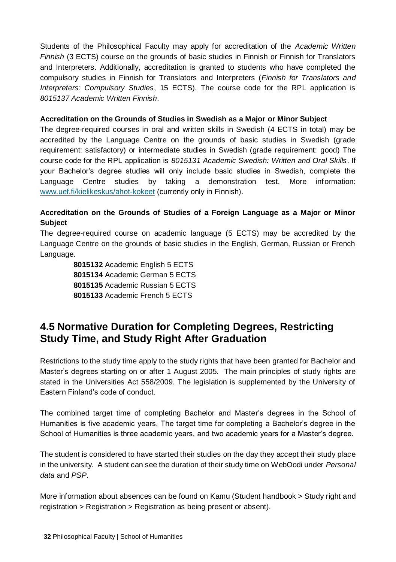Students of the Philosophical Faculty may apply for accreditation of the *Academic Written Finnish* (3 ECTS) course on the grounds of basic studies in Finnish or Finnish for Translators and Interpreters. Additionally, accreditation is granted to students who have completed the compulsory studies in Finnish for Translators and Interpreters (*Finnish for Translators and Interpreters: Compulsory Studies*, 15 ECTS). The course code for the RPL application is *8015137 Academic Written Finnish*.

#### **Accreditation on the Grounds of Studies in Swedish as a Major or Minor Subject**

The degree-required courses in oral and written skills in Swedish (4 ECTS in total) may be accredited by the Language Centre on the grounds of basic studies in Swedish (grade requirement: satisfactory) or intermediate studies in Swedish (grade requirement: good) The course code for the RPL application is *8015131 Academic Swedish: Written and Oral Skills*. If your Bachelor's degree studies will only include basic studies in Swedish, complete the Language Centre studies by taking a demonstration test. More information: [www.uef.fi/kielikeskus/ahot-kokeet](http://www.uef.fi/kielikeskus/ahot-kokeet) (currently only in Finnish).

# **Accreditation on the Grounds of Studies of a Foreign Language as a Major or Minor Subject**

The degree-required course on academic language (5 ECTS) may be accredited by the Language Centre on the grounds of basic studies in the English, German, Russian or French Language.

> Academic English 5 ECTS Academic German 5 ECTS Academic Russian 5 ECTS Academic French 5 ECTS

# **4.5 Normative Duration for Completing Degrees, Restricting Study Time, and Study Right After Graduation**

Restrictions to the study time apply to the study rights that have been granted for Bachelor and Master's degrees starting on or after 1 August 2005. The main principles of study rights are stated in the Universities Act 558/2009. The legislation is supplemented by the University of Eastern Finland's code of conduct.

The combined target time of completing Bachelor and Master's degrees in the School of Humanities is five academic years. The target time for completing a Bachelor's degree in the School of Humanities is three academic years, and two academic years for a Master's degree.

The student is considered to have started their studies on the day they accept their study place in the university. A student can see the duration of their study time on WebOodi under *Personal data* and *PSP*.

More information about absences can be found on Kamu (Student handbook > Study right and registration > Registration > Registration as being present or absent).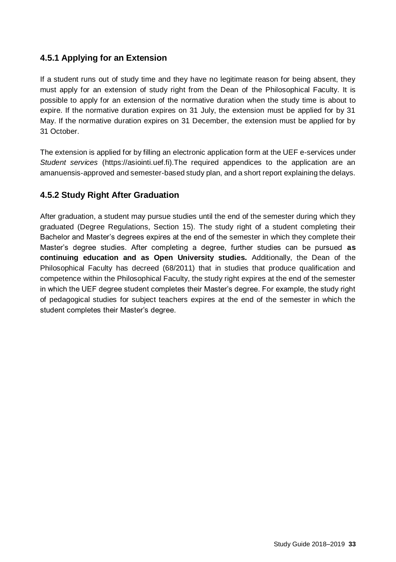# **4.5.1 Applying for an Extension**

If a student runs out of study time and they have no legitimate reason for being absent, they must apply for an extension of study right from the Dean of the Philosophical Faculty. It is possible to apply for an extension of the normative duration when the study time is about to expire. If the normative duration expires on 31 July, the extension must be applied for by 31 May. If the normative duration expires on 31 December, the extension must be applied for by 31 October.

The extension is applied for by filling an electronic application form at the UEF e-services under *Student services* (https://asiointi.uef.fi).The required appendices to the application are an amanuensis-approved and semester-based study plan, and a short report explaining the delays.

# **4.5.2 Study Right After Graduation**

After graduation, a student may pursue studies until the end of the semester during which they graduated (Degree Regulations, Section 15). The study right of a student completing their Bachelor and Master's degrees expires at the end of the semester in which they complete their Master's degree studies. After completing a degree, further studies can be pursued **as continuing education and as Open University studies.** Additionally, the Dean of the Philosophical Faculty has decreed (68/2011) that in studies that produce qualification and competence within the Philosophical Faculty, the study right expires at the end of the semester in which the UEF degree student completes their Master's degree. For example, the study right of pedagogical studies for subject teachers expires at the end of the semester in which the student completes their Master's degree.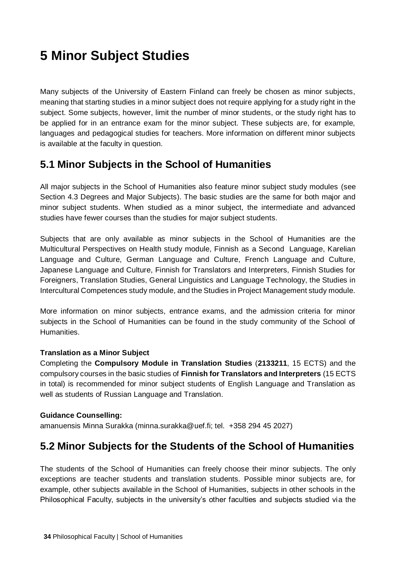# **5 Minor Subject Studies**

Many subjects of the University of Eastern Finland can freely be chosen as minor subjects, meaning that starting studies in a minor subject does not require applying for a study right in the subject. Some subjects, however, limit the number of minor students, or the study right has to be applied for in an entrance exam for the minor subject. These subjects are, for example, languages and pedagogical studies for teachers. More information on different minor subjects is available at the faculty in question.

# **5.1 Minor Subjects in the School of Humanities**

All major subjects in the School of Humanities also feature minor subject study modules (see Section 4.3 Degrees and Major Subjects). The basic studies are the same for both major and minor subject students. When studied as a minor subject, the intermediate and advanced studies have fewer courses than the studies for major subject students.

Subjects that are only available as minor subjects in the School of Humanities are the Multicultural Perspectives on Health study module, Finnish as a Second Language, Karelian Language and Culture, German Language and Culture, French Language and Culture, Japanese Language and Culture, Finnish for Translators and Interpreters, Finnish Studies for Foreigners, Translation Studies, General Linguistics and Language Technology, the Studies in Intercultural Competences study module, and the Studies in Project Management study module.

More information on minor subjects, entrance exams, and the admission criteria for minor subjects in the School of Humanities can be found in the study community of the School of Humanities.

## **Translation as a Minor Subject**

Completing the **Compulsory Module in Translation Studies** (**2133211**, 15 ECTS) and the compulsory courses in the basic studies of **Finnish for Translators and Interpreters** (15 ECTS in total) is recommended for minor subject students of English Language and Translation as well as students of Russian Language and Translation.

## **Guidance Counselling:**

amanuensis Minna Surakka (minna.surakka@uef.fi; tel. +358 294 45 2027)

# **5.2 Minor Subjects for the Students of the School of Humanities**

The students of the School of Humanities can freely choose their minor subjects. The only exceptions are teacher students and translation students. Possible minor subjects are, for example, other subjects available in the School of Humanities, subjects in other schools in the Philosophical Faculty, subjects in the university's other faculties and subjects studied via the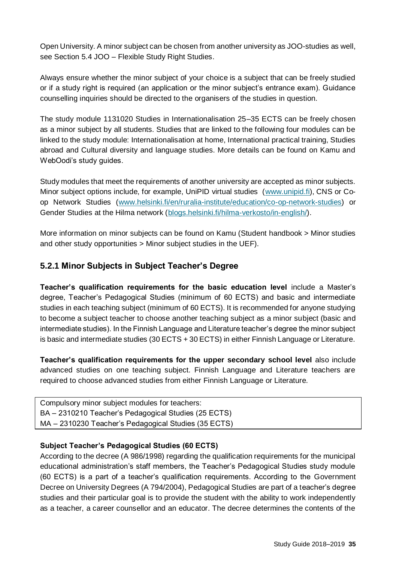Open University. A minor subject can be chosen from another university as JOO-studies as well, see Section 5.4 JOO – Flexible Study Right Studies.

Always ensure whether the minor subject of your choice is a subject that can be freely studied or if a study right is required (an application or the minor subject's entrance exam). Guidance counselling inquiries should be directed to the organisers of the studies in question.

The study module 1131020 Studies in Internationalisation 25–35 ECTS can be freely chosen as a minor subject by all students. Studies that are linked to the following four modules can be linked to the study module: Internationalisation at home, International practical training, Studies abroad and Cultural diversity and language studies. More details can be found on Kamu and WebOodi's study guides.

Study modules that meet the requirements of another university are accepted as minor subjects. Minor subject options include, for example, UniPID virtual studies [\(www.unipid.fi\)](http://www.unipid.fi/), CNS or Coop Network Studies [\(www.helsinki.fi/en/ruralia-institute/education/co-op-network-studies\)](https://www.helsinki.fi/fi/ruralia-instituutti/koulutus/koulutustarjonta/co-op-network-studies) or Gender Studies at the Hilma network [\(blogs.helsinki.fi/hilma-verkosto/in-english/\)](http://blogs.helsinki.fi/hilma-verkosto).

More information on minor subjects can be found on Kamu (Student handbook > Minor studies and other study opportunities > Minor subject studies in the UEF).

# **5.2.1 Minor Subjects in Subject Teacher's Degree**

**Teacher's qualification requirements for the basic education level** include a Master's degree, Teacher's Pedagogical Studies (minimum of 60 ECTS) and basic and intermediate studies in each teaching subject (minimum of 60 ECTS). It is recommended for anyone studying to become a subject teacher to choose another teaching subject as a minor subject (basic and intermediate studies). In the Finnish Language and Literature teacher's degree the minor subject is basic and intermediate studies (30 ECTS + 30 ECTS) in either Finnish Language or Literature.

**Teacher's qualification requirements for the upper secondary school level** also include advanced studies on one teaching subject. Finnish Language and Literature teachers are required to choose advanced studies from either Finnish Language or Literature.

Compulsory minor subject modules for teachers: BA – 2310210 Teacher's Pedagogical Studies (25 ECTS) MA – 2310230 Teacher's Pedagogical Studies (35 ECTS)

# **Subject Teacher's Pedagogical Studies (60 ECTS)**

According to the decree (A 986/1998) regarding the qualification requirements for the municipal educational administration's staff members, the Teacher's Pedagogical Studies study module (60 ECTS) is a part of a teacher's qualification requirements. According to the Government Decree on University Degrees (A 794/2004), Pedagogical Studies are part of a teacher's degree studies and their particular goal is to provide the student with the ability to work independently as a teacher, a career counsellor and an educator. The decree determines the contents of the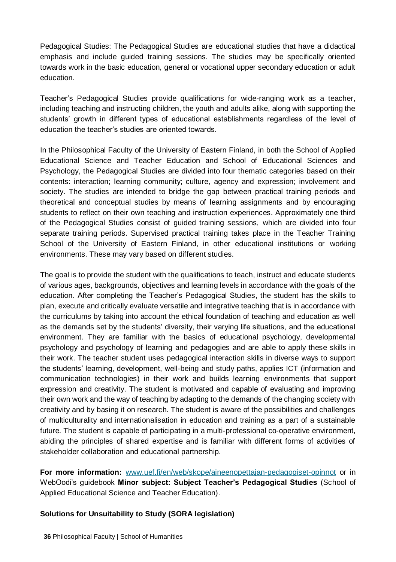Pedagogical Studies: The Pedagogical Studies are educational studies that have a didactical emphasis and include guided training sessions. The studies may be specifically oriented towards work in the basic education, general or vocational upper secondary education or adult education.

Teacher's Pedagogical Studies provide qualifications for wide-ranging work as a teacher, including teaching and instructing children, the youth and adults alike, along with supporting the students' growth in different types of educational establishments regardless of the level of education the teacher's studies are oriented towards.

In the Philosophical Faculty of the University of Eastern Finland, in both the School of Applied Educational Science and Teacher Education and School of Educational Sciences and Psychology, the Pedagogical Studies are divided into four thematic categories based on their contents: interaction; learning community; culture, agency and expression; involvement and society. The studies are intended to bridge the gap between practical training periods and theoretical and conceptual studies by means of learning assignments and by encouraging students to reflect on their own teaching and instruction experiences. Approximately one third of the Pedagogical Studies consist of guided training sessions, which are divided into four separate training periods. Supervised practical training takes place in the Teacher Training School of the University of Eastern Finland, in other educational institutions or working environments. These may vary based on different studies.

The goal is to provide the student with the qualifications to teach, instruct and educate students of various ages, backgrounds, objectives and learning levels in accordance with the goals of the education. After completing the Teacher's Pedagogical Studies, the student has the skills to plan, execute and critically evaluate versatile and integrative teaching that is in accordance with the curriculums by taking into account the ethical foundation of teaching and education as well as the demands set by the students' diversity, their varying life situations, and the educational environment. They are familiar with the basics of educational psychology, developmental psychology and psychology of learning and pedagogies and are able to apply these skills in their work. The teacher student uses pedagogical interaction skills in diverse ways to support the students' learning, development, well-being and study paths, applies ICT (information and communication technologies) in their work and builds learning environments that support expression and creativity. The student is motivated and capable of evaluating and improving their own work and the way of teaching by adapting to the demands of the changing society with creativity and by basing it on research. The student is aware of the possibilities and challenges of multiculturality and internationalisation in education and training as a part of a sustainable future. The student is capable of participating in a multi-professional co-operative environment, abiding the principles of shared expertise and is familiar with different forms of activities of stakeholder collaboration and educational partnership.

**For more information:** [www.uef.fi/en/web/skope/aineenopettajan-pedagogiset-opinnot](http://www.uef.fi/en/web/skope/aineenopettajan-pedagogiset-opinnot) or in WebOodi's guidebook **Minor subject: Subject Teacher's Pedagogical Studies** (School of Applied Educational Science and Teacher Education).

## **Solutions for Unsuitability to Study (SORA legislation)**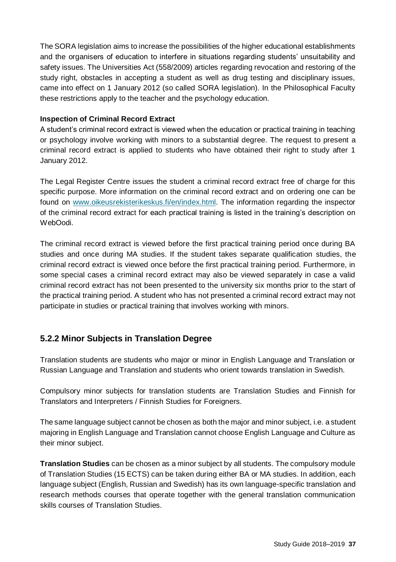The SORA legislation aims to increase the possibilities of the higher educational establishments and the organisers of education to interfere in situations regarding students' unsuitability and safety issues. The Universities Act (558/2009) articles regarding revocation and restoring of the study right, obstacles in accepting a student as well as drug testing and disciplinary issues, came into effect on 1 January 2012 (so called SORA legislation). In the Philosophical Faculty these restrictions apply to the teacher and the psychology education.

### **Inspection of Criminal Record Extract**

A student's criminal record extract is viewed when the education or practical training in teaching or psychology involve working with minors to a substantial degree. The request to present a criminal record extract is applied to students who have obtained their right to study after 1 January 2012.

The Legal Register Centre issues the student a criminal record extract free of charge for this specific purpose. More information on the criminal record extract and on ordering one can be found on [www.oikeusrekisterikeskus.fi/en/index.html.](http://www.oikeusrekisterikeskus.fi/en/index.html) The information regarding the inspector of the criminal record extract for each practical training is listed in the training's description on WebOodi.

The criminal record extract is viewed before the first practical training period once during BA studies and once during MA studies. If the student takes separate qualification studies, the criminal record extract is viewed once before the first practical training period. Furthermore, in some special cases a criminal record extract may also be viewed separately in case a valid criminal record extract has not been presented to the university six months prior to the start of the practical training period. A student who has not presented a criminal record extract may not participate in studies or practical training that involves working with minors.

# **5.2.2 Minor Subjects in Translation Degree**

Translation students are students who major or minor in English Language and Translation or Russian Language and Translation and students who orient towards translation in Swedish.

Compulsory minor subjects for translation students are Translation Studies and Finnish for Translators and Interpreters / Finnish Studies for Foreigners.

The same language subject cannot be chosen as both the major and minor subject, i.e. a student majoring in English Language and Translation cannot choose English Language and Culture as their minor subject.

**Translation Studies** can be chosen as a minor subject by all students. The compulsory module of Translation Studies (15 ECTS) can be taken during either BA or MA studies. In addition, each language subject (English, Russian and Swedish) has its own language-specific translation and research methods courses that operate together with the general translation communication skills courses of Translation Studies.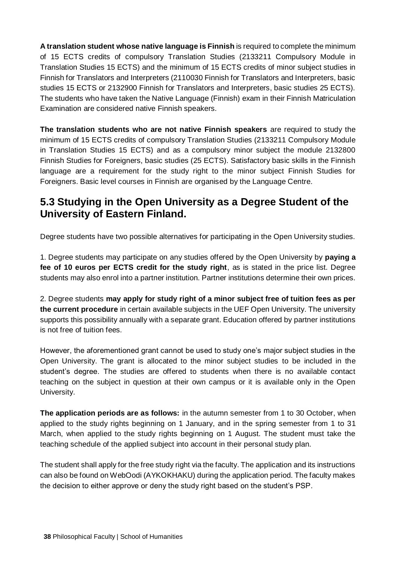**A translation student whose native language is Finnish** is required to complete the minimum of 15 ECTS credits of compulsory Translation Studies (2133211 Compulsory Module in Translation Studies 15 ECTS) and the minimum of 15 ECTS credits of minor subject studies in Finnish for Translators and Interpreters (2110030 Finnish for Translators and Interpreters, basic studies 15 ECTS or 2132900 Finnish for Translators and Interpreters, basic studies 25 ECTS). The students who have taken the Native Language (Finnish) exam in their Finnish Matriculation Examination are considered native Finnish speakers.

**The translation students who are not native Finnish speakers** are required to study the minimum of 15 ECTS credits of compulsory Translation Studies (2133211 Compulsory Module in Translation Studies 15 ECTS) and as a compulsory minor subject the module 2132800 Finnish Studies for Foreigners, basic studies (25 ECTS). Satisfactory basic skills in the Finnish language are a requirement for the study right to the minor subject Finnish Studies for Foreigners. Basic level courses in Finnish are organised by the Language Centre.

# **5.3 Studying in the Open University as a Degree Student of the University of Eastern Finland.**

Degree students have two possible alternatives for participating in the Open University studies.

1. Degree students may participate on any studies offered by the Open University by **paying a fee of 10 euros per ECTS credit for the study right**, as is stated in the price list. Degree students may also enrol into a partner institution. Partner institutions determine their own prices.

2. Degree students **may apply for study right of a minor subject free of tuition fees as per the current procedure** in certain available subjects in the UEF Open University. The university supports this possibility annually with a separate grant. Education offered by partner institutions is not free of tuition fees.

However, the aforementioned grant cannot be used to study one's major subject studies in the Open University. The grant is allocated to the minor subject studies to be included in the student's degree. The studies are offered to students when there is no available contact teaching on the subject in question at their own campus or it is available only in the Open University.

**The application periods are as follows:** in the autumn semester from 1 to 30 October, when applied to the study rights beginning on 1 January, and in the spring semester from 1 to 31 March, when applied to the study rights beginning on 1 August. The student must take the teaching schedule of the applied subject into account in their personal study plan.

The student shall apply for the free study right via the faculty. The application and its instructions can also be found on WebOodi (AYKOKHAKU) during the application period. The faculty makes the decision to either approve or deny the study right based on the student's PSP.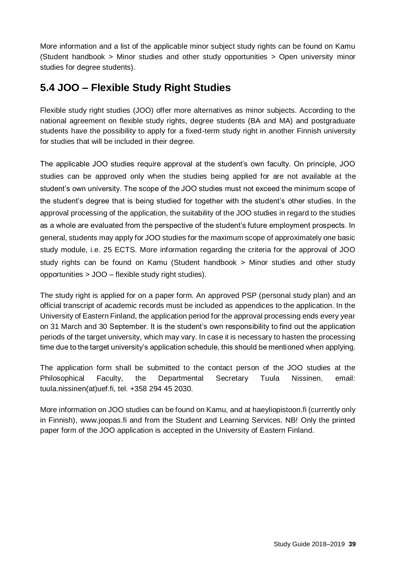More information and a list of the applicable minor subject study rights can be found on Kamu (Student handbook > Minor studies and other study opportunities > Open university minor studies for degree students).

# **5.4 JOO – Flexible Study Right Studies**

Flexible study right studies (JOO) offer more alternatives as minor subjects. According to the national agreement on flexible study rights, degree students (BA and MA) and postgraduate students have the possibility to apply for a fixed-term study right in another Finnish university for studies that will be included in their degree.

The applicable JOO studies require approval at the student's own faculty. On principle, JOO studies can be approved only when the studies being applied for are not available at the student's own university. The scope of the JOO studies must not exceed the minimum scope of the student's degree that is being studied for together with the student's other studies. In the approval processing of the application, the suitability of the JOO studies in regard to the studies as a whole are evaluated from the perspective of the student's future employment prospects. In general, students may apply for JOO studies for the maximum scope of approximately one basic study module, i.e. 25 ECTS. More information regarding the criteria for the approval of JOO study rights can be found on Kamu (Student handbook > Minor studies and other study opportunities > JOO – flexible study right studies).

The study right is applied for on a paper form. An approved PSP (personal study plan) and an official transcript of academic records must be included as appendices to the application. In the University of Eastern Finland, the application period for the approval processing ends every year on 31 March and 30 September. It is the student's own responsibility to find out the application periods of the target university, which may vary. In case it is necessary to hasten the processing time due to the target university's application schedule, this should be mentioned when applying.

The application form shall be submitted to the contact person of the JOO studies at the Philosophical Faculty, the Departmental Secretary Tuula Nissinen, email: tuula.nissinen(at)uef.fi, tel. +358 294 45 2030.

More information on JOO studies can be found on Kamu, and at haeyliopistoon.fi (currently only in Finnish), www.joopas.fi and from the Student and Learning Services. NB! Only the printed paper form of the JOO application is accepted in the University of Eastern Finland.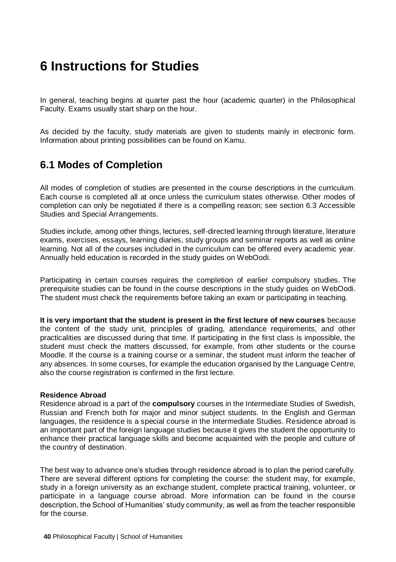# **6 Instructions for Studies**

In general, teaching begins at quarter past the hour (academic quarter) in the Philosophical Faculty. Exams usually start sharp on the hour.

As decided by the faculty, study materials are given to students mainly in electronic form. Information about printing possibilities can be found on Kamu.

# **6.1 Modes of Completion**

All modes of completion of studies are presented in the course descriptions in the curriculum. Each course is completed all at once unless the curriculum states otherwise. Other modes of completion can only be negotiated if there is a compelling reason; see section 6.3 Accessible Studies and Special Arrangements.

Studies include, among other things, lectures, self-directed learning through literature, literature exams, exercises, essays, learning diaries, study groups and seminar reports as well as online learning. Not all of the courses included in the curriculum can be offered every academic year. Annually held education is recorded in the study guides on WebOodi.

Participating in certain courses requires the completion of earlier compulsory studies. The prerequisite studies can be found in the course descriptions in the study guides on WebOodi. The student must check the requirements before taking an exam or participating in teaching.

**It is very important that the student is present in the first lecture of new courses** because the content of the study unit, principles of grading, attendance requirements, and other practicalities are discussed during that time. If participating in the first class is impossible, the student must check the matters discussed, for example, from other students or the course Moodle. If the course is a training course or a seminar, the student must inform the teacher of any absences. In some courses, for example the education organised by the Language Centre, also the course registration is confirmed in the first lecture.

#### **Residence Abroad**

Residence abroad is a part of the **compulsory** courses in the Intermediate Studies of Swedish, Russian and French both for major and minor subject students. In the English and German languages, the residence is a special course in the Intermediate Studies. Residence abroad is an important part of the foreign language studies because it gives the student the opportunity to enhance their practical language skills and become acquainted with the people and culture of the country of destination.

The best way to advance one's studies through residence abroad is to plan the period carefully. There are several different options for completing the course: the student may, for example, study in a foreign university as an exchange student, complete practical training, volunteer, or participate in a language course abroad. More information can be found in the course description, the School of Humanities' study community, as well as from the teacher responsible for the course.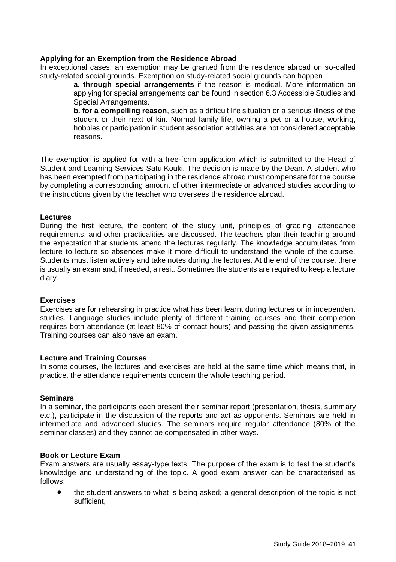#### **Applying for an Exemption from the Residence Abroad**

In exceptional cases, an exemption may be granted from the residence abroad on so-called study-related social grounds. Exemption on study-related social grounds can happen

> **a. through special arrangements** if the reason is medical. More information on applying for special arrangements can be found in section 6.3 Accessible Studies and Special Arrangements.

> **b. for a compelling reason**, such as a difficult life situation or a serious illness of the student or their next of kin. Normal family life, owning a pet or a house, working, hobbies or participation in student association activities are not considered acceptable reasons.

The exemption is applied for with a free-form application which is submitted to the Head of Student and Learning Services Satu Kouki. The decision is made by the Dean. A student who has been exempted from participating in the residence abroad must compensate for the course by completing a corresponding amount of other intermediate or advanced studies according to the instructions given by the teacher who oversees the residence abroad.

#### **Lectures**

During the first lecture, the content of the study unit, principles of grading, attendance requirements, and other practicalities are discussed. The teachers plan their teaching around the expectation that students attend the lectures regularly. The knowledge accumulates from lecture to lecture so absences make it more difficult to understand the whole of the course. Students must listen actively and take notes during the lectures. At the end of the course, there is usually an exam and, if needed, a resit. Sometimes the students are required to keep a lecture diary.

### **Exercises**

Exercises are for rehearsing in practice what has been learnt during lectures or in independent studies. Language studies include plenty of different training courses and their completion requires both attendance (at least 80% of contact hours) and passing the given assignments. Training courses can also have an exam.

#### **Lecture and Training Courses**

In some courses, the lectures and exercises are held at the same time which means that, in practice, the attendance requirements concern the whole teaching period.

#### **Seminars**

In a seminar, the participants each present their seminar report (presentation, thesis, summary etc.), participate in the discussion of the reports and act as opponents. Seminars are held in intermediate and advanced studies. The seminars require regular attendance (80% of the seminar classes) and they cannot be compensated in other ways.

#### **Book or Lecture Exam**

Exam answers are usually essay-type texts. The purpose of the exam is to test the student's knowledge and understanding of the topic. A good exam answer can be characterised as follows:

• the student answers to what is being asked; a general description of the topic is not sufficient,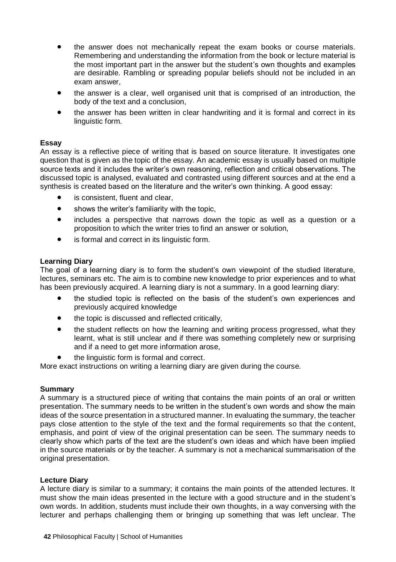- the answer does not mechanically repeat the exam books or course materials. Remembering and understanding the information from the book or lecture material is the most important part in the answer but the student's own thoughts and examples are desirable. Rambling or spreading popular beliefs should not be included in an exam answer,
- the answer is a clear, well organised unit that is comprised of an introduction, the body of the text and a conclusion,
- the answer has been written in clear handwriting and it is formal and correct in its linguistic form.

#### **Essay**

An essay is a reflective piece of writing that is based on source literature. It investigates one question that is given as the topic of the essay. An academic essay is usually based on multiple source texts and it includes the writer's own reasoning, reflection and critical observations. The discussed topic is analysed, evaluated and contrasted using different sources and at the end a synthesis is created based on the literature and the writer's own thinking. A good essay:

- is consistent, fluent and clear,
- shows the writer's familiarity with the topic.
- includes a perspective that narrows down the topic as well as a question or a proposition to which the writer tries to find an answer or solution,
- is formal and correct in its linguistic form.

#### **Learning Diary**

The goal of a learning diary is to form the student's own viewpoint of the studied literature, lectures, seminars etc. The aim is to combine new knowledge to prior experiences and to what has been previously acquired. A learning diary is not a summary. In a good learning diary:

- the studied topic is reflected on the basis of the student's own experiences and previously acquired knowledge
- the topic is discussed and reflected critically,
- the student reflects on how the learning and writing process progressed, what they learnt, what is still unclear and if there was something completely new or surprising and if a need to get more information arose.
- the linguistic form is formal and correct.

More exact instructions on writing a learning diary are given during the course.

#### **Summary**

A summary is a structured piece of writing that contains the main points of an oral or written presentation. The summary needs to be written in the student's own words and show the main ideas of the source presentation in a structured manner. In evaluating the summary, the teacher pays close attention to the style of the text and the formal requirements so that the content, emphasis, and point of view of the original presentation can be seen. The summary needs to clearly show which parts of the text are the student's own ideas and which have been implied in the source materials or by the teacher. A summary is not a mechanical summarisation of the original presentation.

#### **Lecture Diary**

A lecture diary is similar to a summary; it contains the main points of the attended lectures. It must show the main ideas presented in the lecture with a good structure and in the student's own words. In addition, students must include their own thoughts, in a way conversing with the lecturer and perhaps challenging them or bringing up something that was left unclear. The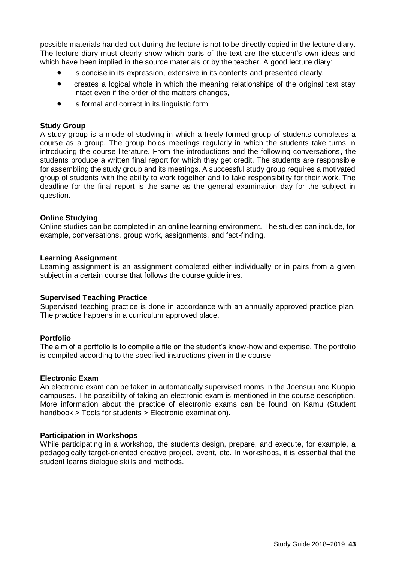possible materials handed out during the lecture is not to be directly copied in the lecture diary. The lecture diary must clearly show which parts of the text are the student's own ideas and which have been implied in the source materials or by the teacher. A good lecture diary:

- is concise in its expression, extensive in its contents and presented clearly,
- creates a logical whole in which the meaning relationships of the original text stay intact even if the order of the matters changes,
- is formal and correct in its linguistic form.

#### **Study Group**

A study group is a mode of studying in which a freely formed group of students completes a course as a group. The group holds meetings regularly in which the students take turns in introducing the course literature. From the introductions and the following conversations, the students produce a written final report for which they get credit. The students are responsible for assembling the study group and its meetings. A successful study group requires a motivated group of students with the ability to work together and to take responsibility for their work. The deadline for the final report is the same as the general examination day for the subject in question.

#### **Online Studying**

Online studies can be completed in an online learning environment. The studies can include, for example, conversations, group work, assignments, and fact-finding.

#### **Learning Assignment**

Learning assignment is an assignment completed either individually or in pairs from a given subject in a certain course that follows the course guidelines.

#### **Supervised Teaching Practice**

Supervised teaching practice is done in accordance with an annually approved practice plan. The practice happens in a curriculum approved place.

#### **Portfolio**

The aim of a portfolio is to compile a file on the student's know-how and expertise. The portfolio is compiled according to the specified instructions given in the course.

#### **Electronic Exam**

An electronic exam can be taken in automatically supervised rooms in the Joensuu and Kuopio campuses. The possibility of taking an electronic exam is mentioned in the course description. More information about the practice of electronic exams can be found on Kamu (Student handbook > Tools for students > Electronic examination).

#### **Participation in Workshops**

While participating in a workshop, the students design, prepare, and execute, for example, a pedagogically target-oriented creative project, event, etc. In workshops, it is essential that the student learns dialogue skills and methods.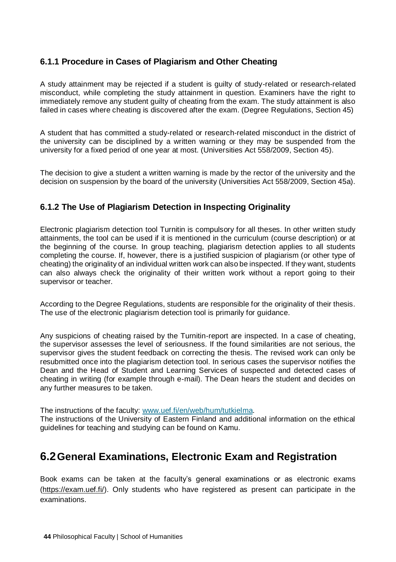# **6.1.1 Procedure in Cases of Plagiarism and Other Cheating**

A study attainment may be rejected if a student is guilty of study-related or research-related misconduct, while completing the study attainment in question. Examiners have the right to immediately remove any student guilty of cheating from the exam. The study attainment is also failed in cases where cheating is discovered after the exam. (Degree Regulations, Section 45)

A student that has committed a study-related or research-related misconduct in the district of the university can be disciplined by a written warning or they may be suspended from the university for a fixed period of one year at most. (Universities Act 558/2009, Section 45).

The decision to give a student a written warning is made by the rector of the university and the decision on suspension by the board of the university (Universities Act 558/2009, Section 45a).

# **6.1.2 The Use of Plagiarism Detection in Inspecting Originality**

Electronic plagiarism detection tool Turnitin is compulsory for all theses. In other written study attainments, the tool can be used if it is mentioned in the curriculum (course description) or at the beginning of the course. In group teaching, plagiarism detection applies to all students completing the course. If, however, there is a justified suspicion of plagiarism (or other type of cheating) the originality of an individual written work can also be inspected. If they want, students can also always check the originality of their written work without a report going to their supervisor or teacher.

According to the Degree Regulations, students are responsible for the originality of their thesis. The use of the electronic plagiarism detection tool is primarily for guidance.

Any suspicions of cheating raised by the Turnitin-report are inspected. In a case of cheating, the supervisor assesses the level of seriousness. If the found similarities are not serious, the supervisor gives the student feedback on correcting the thesis. The revised work can only be resubmitted once into the plagiarism detection tool. In serious cases the supervisor notifies the Dean and the Head of Student and Learning Services of suspected and detected cases of cheating in writing (for example through e-mail). The Dean hears the student and decides on any further measures to be taken.

The instructions of the faculty: [www.uef.fi/en/web/hum/tutkielma.](http://www.uef.fi/web/hum/tutkielma)

The instructions of the University of Eastern Finland and additional information on the ethical guidelines for teaching and studying can be found on Kamu.

# **6.2General Examinations, Electronic Exam and Registration**

Book exams can be taken at the faculty's general examinations or as electronic exams [\(https://exam.uef.fi/\)](https://exam.uef.fi/). Only students who have registered as present can participate in the examinations.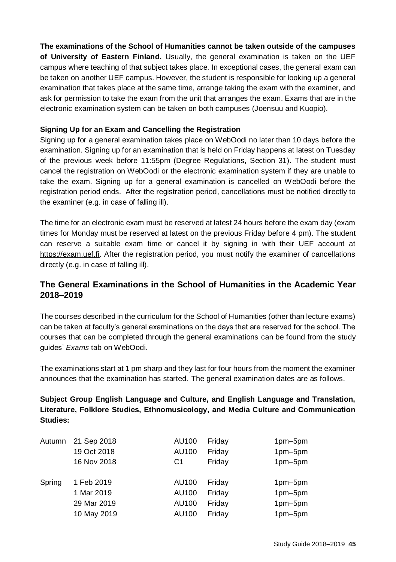**The examinations of the School of Humanities cannot be taken outside of the campuses of University of Eastern Finland.** Usually, the general examination is taken on the UEF campus where teaching of that subject takes place. In exceptional cases, the general exam can be taken on another UEF campus. However, the student is responsible for looking up a general examination that takes place at the same time, arrange taking the exam with the examiner, and ask for permission to take the exam from the unit that arranges the exam. Exams that are in the electronic examination system can be taken on both campuses (Joensuu and Kuopio).

### **Signing Up for an Exam and Cancelling the Registration**

Signing up for a general examination takes place on WebOodi no later than 10 days before the examination. Signing up for an examination that is held on Friday happens at latest on Tuesday of the previous week before 11:55pm (Degree Regulations, Section 31). The student must cancel the registration on WebOodi or the electronic examination system if they are unable to take the exam. Signing up for a general examination is cancelled on WebOodi before the registration period ends. After the registration period, cancellations must be notified directly to the examiner (e.g. in case of falling ill).

The time for an electronic exam must be reserved at latest 24 hours before the exam day (exam times for Monday must be reserved at latest on the previous Friday before 4 pm). The student can reserve a suitable exam time or cancel it by signing in with their UEF account at [https://exam.uef.fi.](https://exam.uef.fi/) After the registration period, you must notify the examiner of cancellations directly (e.g. in case of falling ill).

# **The General Examinations in the School of Humanities in the Academic Year 2018–2019**

The courses described in the curriculum for the School of Humanities (other than lecture exams) can be taken at faculty's general examinations on the days that are reserved for the school. The courses that can be completed through the general examinations can be found from the study guides' *Exams* tab on WebOodi.

The examinations start at 1 pm sharp and they last for four hours from the moment the examiner announces that the examination has started. The general examination dates are as follows.

**Subject Group English Language and Culture, and English Language and Translation, Literature, Folklore Studies, Ethnomusicology, and Media Culture and Communication Studies:**

| Autumn | 21 Sep 2018 | AU100 | Friday | 1pm-5pm   |
|--------|-------------|-------|--------|-----------|
|        | 19 Oct 2018 | AU100 | Friday | 1pm-5pm   |
|        | 16 Nov 2018 | C1    | Fridav | 1pm-5pm   |
| Spring | 1 Feb 2019  | AU100 | Friday | 1pm-5pm   |
|        | 1 Mar 2019  | AU100 | Friday | 1pm-5pm   |
|        | 29 Mar 2019 | AU100 | Friday | $1pm-5pm$ |
|        | 10 May 2019 | AU100 | Friday | 1pm-5pm   |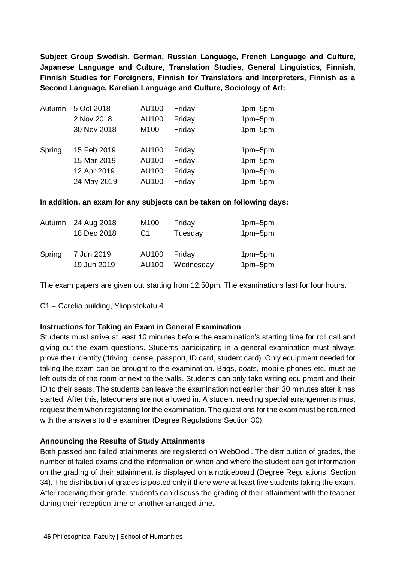**Subject Group Swedish, German, Russian Language, French Language and Culture, Japanese Language and Culture, Translation Studies, General Linguistics, Finnish, Finnish Studies for Foreigners, Finnish for Translators and Interpreters, Finnish as a Second Language, Karelian Language and Culture, Sociology of Art:**

| Autumn | 5 Oct 2018  | AU100 | Friday | 1pm-5pm |
|--------|-------------|-------|--------|---------|
|        | 2 Nov 2018  | AU100 | Friday | 1pm-5pm |
|        | 30 Nov 2018 | M100  | Friday | 1pm-5pm |
| Spring | 15 Feb 2019 | AU100 | Friday | 1pm-5pm |
|        | 15 Mar 2019 | AU100 | Friday | 1pm-5pm |
|        | 12 Apr 2019 | AU100 | Friday | 1pm-5pm |
|        | 24 May 2019 | AU100 | Friday | 1pm-5pm |

#### **In addition, an exam for any subjects can be taken on following days:**

| Autumn | 24 Aug 2018 | M100  | Friday    | 1pm-5pm            |
|--------|-------------|-------|-----------|--------------------|
|        | 18 Dec 2018 | C1    | Tuesday   | 1pm-5pm            |
| Spring | 7 Jun 2019  | AU100 | Fridav    | 1pm-5pm<br>1pm-5pm |
|        | 19 Jun 2019 | AU100 | Wednesday |                    |

The exam papers are given out starting from 12:50pm. The examinations last for four hours.

C1 = Carelia building, Yliopistokatu 4

#### **Instructions for Taking an Exam in General Examination**

Students must arrive at least 10 minutes before the examination's starting time for roll call and giving out the exam questions. Students participating in a general examination must always prove their identity (driving license, passport, ID card, student card). Only equipment needed for taking the exam can be brought to the examination. Bags, coats, mobile phones etc. must be left outside of the room or next to the walls. Students can only take writing equipment and their ID to their seats. The students can leave the examination not earlier than 30 minutes after it has started. After this, latecomers are not allowed in. A student needing special arrangements must request them when registering for the examination. The questions for the exam must be returned with the answers to the examiner (Degree Regulations Section 30).

#### **Announcing the Results of Study Attainments**

Both passed and failed attainments are registered on WebOodi. The distribution of grades, the number of failed exams and the information on when and where the student can get information on the grading of their attainment, is displayed on a noticeboard (Degree Regulations, Section 34). The distribution of grades is posted only if there were at least five students taking the exam. After receiving their grade, students can discuss the grading of their attainment with the teacher during their reception time or another arranged time.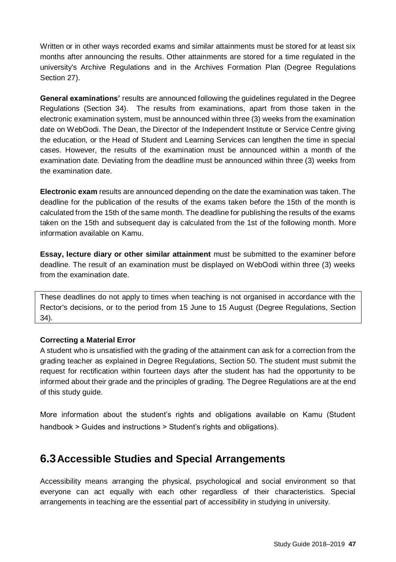Written or in other ways recorded exams and similar attainments must be stored for at least six months after announcing the results. Other attainments are stored for a time regulated in the university's Archive Regulations and in the Archives Formation Plan (Degree Regulations Section 27).

**General examinations'** results are announced following the guidelines regulated in the Degree Regulations (Section 34). The results from examinations, apart from those taken in the electronic examination system, must be announced within three (3) weeks from the examination date on WebOodi. The Dean, the Director of the Independent Institute or Service Centre giving the education, or the Head of Student and Learning Services can lengthen the time in special cases. However, the results of the examination must be announced within a month of the examination date. Deviating from the deadline must be announced within three (3) weeks from the examination date.

**Electronic exam** results are announced depending on the date the examination was taken. The deadline for the publication of the results of the exams taken before the 15th of the month is calculated from the 15th of the same month. The deadline for publishing the results of the exams taken on the 15th and subsequent day is calculated from the 1st of the following month. More information available on Kamu.

**Essay, lecture diary or other similar attainment** must be submitted to the examiner before deadline. The result of an examination must be displayed on WebOodi within three (3) weeks from the examination date.

These deadlines do not apply to times when teaching is not organised in accordance with the Rector's decisions, or to the period from 15 June to 15 August (Degree Regulations, Section 34).

## **Correcting a Material Error**

A student who is unsatisfied with the grading of the attainment can ask for a correction from the grading teacher as explained in Degree Regulations, Section 50. The student must submit the request for rectification within fourteen days after the student has had the opportunity to be informed about their grade and the principles of grading. The Degree Regulations are at the end of this study guide.

More information about the student's rights and obligations available on Kamu (Student handbook > Guides and instructions > Student's rights and obligations).

# **6.3Accessible Studies and Special Arrangements**

Accessibility means arranging the physical, psychological and social environment so that everyone can act equally with each other regardless of their characteristics. Special arrangements in teaching are the essential part of accessibility in studying in university.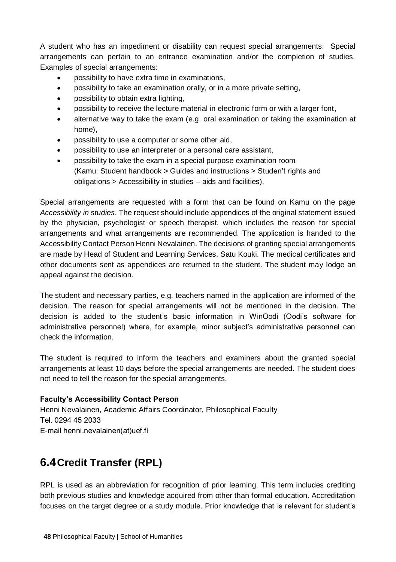A student who has an impediment or disability can request special arrangements. Special arrangements can pertain to an entrance examination and/or the completion of studies. Examples of special arrangements:

- possibility to have extra time in examinations,
- possibility to take an examination orally, or in a more private setting,
- possibility to obtain extra lighting,
- possibility to receive the lecture material in electronic form or with a larger font,
- alternative way to take the exam (e.g. oral examination or taking the examination at home),
- possibility to use a computer or some other aid,
- possibility to use an interpreter or a personal care assistant,
- possibility to take the exam in a special purpose examination room (Kamu: Student handbook > Guides and instructions > Studen't rights and obligations > Accessibility in studies – aids and facilities).

Special arrangements are requested with a form that can be found on Kamu on the page *Accessibility in studies*. The request should include appendices of the original statement issued by the physician, psychologist or speech therapist, which includes the reason for special arrangements and what arrangements are recommended. The application is handed to the Accessibility Contact Person Henni Nevalainen. The decisions of granting special arrangements are made by Head of Student and Learning Services, Satu Kouki. The medical certificates and other documents sent as appendices are returned to the student. The student may lodge an appeal against the decision.

The student and necessary parties, e.g. teachers named in the application are informed of the decision. The reason for special arrangements will not be mentioned in the decision. The decision is added to the student's basic information in WinOodi (Oodi's software for administrative personnel) where, for example, minor subject's administrative personnel can check the information.

The student is required to inform the teachers and examiners about the granted special arrangements at least 10 days before the special arrangements are needed. The student does not need to tell the reason for the special arrangements.

## **Faculty's Accessibility Contact Person**

Henni Nevalainen, Academic Affairs Coordinator, Philosophical Faculty  Tel. 0294 45 2033  E-mail henni.nevalainen(at)uef.fi 

# **6.4Credit Transfer (RPL)**

RPL is used as an abbreviation for recognition of prior learning. This term includes crediting both previous studies and knowledge acquired from other than formal education. Accreditation focuses on the target degree or a study module. Prior knowledge that is relevant for student's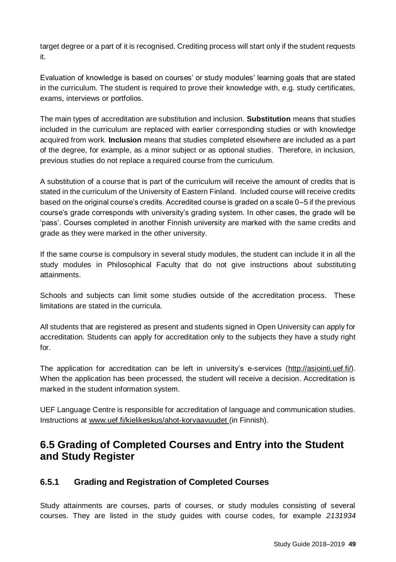target degree or a part of it is recognised. Crediting process will start only if the student requests it.

Evaluation of knowledge is based on courses' or study modules' learning goals that are stated in the curriculum. The student is required to prove their knowledge with, e.g. study certificates, exams, interviews or portfolios.

The main types of accreditation are substitution and inclusion. **Substitution** means that studies included in the curriculum are replaced with earlier corresponding studies or with knowledge acquired from work. **Inclusion** means that studies completed elsewhere are included as a part of the degree, for example, as a minor subject or as optional studies. Therefore, in inclusion, previous studies do not replace a required course from the curriculum.

A substitution of a course that is part of the curriculum will receive the amount of credits that is stated in the curriculum of the University of Eastern Finland. Included course will receive credits based on the original course's credits. Accredited course is graded on a scale 0–5 if the previous course's grade corresponds with university's grading system. In other cases, the grade will be 'pass'. Courses completed in another Finnish university are marked with the same credits and grade as they were marked in the other university.

If the same course is compulsory in several study modules, the student can include it in all the study modules in Philosophical Faculty that do not give instructions about substituting attainments.

Schools and subjects can limit some studies outside of the accreditation process. These limitations are stated in the curricula.

All students that are registered as present and students signed in Open University can apply for accreditation. Students can apply for accreditation only to the subjects they have a study right for.

The application for accreditation can be left in university's e-services [\(http://asiointi.uef.fi/\)](http://asiointi.uef.fi/). When the application has been processed, the student will receive a decision. Accreditation is marked in the student information system.

UEF Language Centre is responsible for accreditation of language and communication studies. Instructions at [www.uef.fi/kielikeskus/ahot-korvaavuudet](http://www.uef.fi/kielikeskus/ahot-korvaavuudet) (in Finnish).

# **6.5 Grading of Completed Courses and Entry into the Student and Study Register**

# **6.5.1 Grading and Registration of Completed Courses**

Study attainments are courses, parts of courses, or study modules consisting of several courses. They are listed in the study guides with course codes, for example *2131934*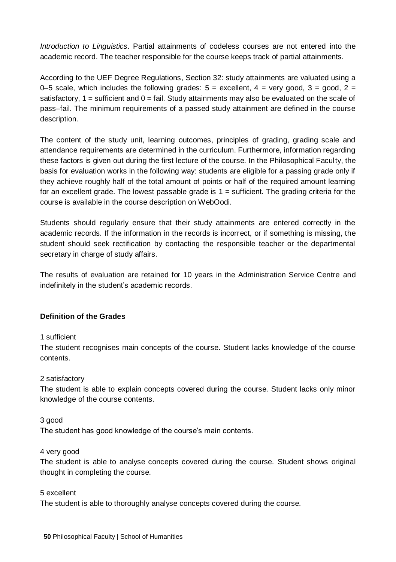*Introduction to Linguistics*. Partial attainments of codeless courses are not entered into the academic record. The teacher responsible for the course keeps track of partial attainments.

According to the UEF Degree Regulations, Section 32: study attainments are valuated using a 0–5 scale, which includes the following grades:  $5 =$  excellent,  $4 =$  very good,  $3 =$  good,  $2 =$ satisfactory,  $1 =$  sufficient and  $0 =$  fail. Study attainments may also be evaluated on the scale of pass–fail. The minimum requirements of a passed study attainment are defined in the course description.

The content of the study unit, learning outcomes, principles of grading, grading scale and attendance requirements are determined in the curriculum. Furthermore, information regarding these factors is given out during the first lecture of the course. In the Philosophical Faculty, the basis for evaluation works in the following way: students are eligible for a passing grade only if they achieve roughly half of the total amount of points or half of the required amount learning for an excellent grade. The lowest passable grade is  $1 =$  sufficient. The grading criteria for the course is available in the course description on WebOodi.

Students should regularly ensure that their study attainments are entered correctly in the academic records. If the information in the records is incorrect, or if something is missing, the student should seek rectification by contacting the responsible teacher or the departmental secretary in charge of study affairs.

The results of evaluation are retained for 10 years in the Administration Service Centre and indefinitely in the student's academic records.

## **Definition of the Grades**

#### 1 sufficient

The student recognises main concepts of the course. Student lacks knowledge of the course contents.

#### 2 satisfactory

The student is able to explain concepts covered during the course. Student lacks only minor knowledge of the course contents.

#### 3 good

The student has good knowledge of the course's main contents.

### 4 very good

The student is able to analyse concepts covered during the course. Student shows original thought in completing the course.

#### 5 excellent

The student is able to thoroughly analyse concepts covered during the course.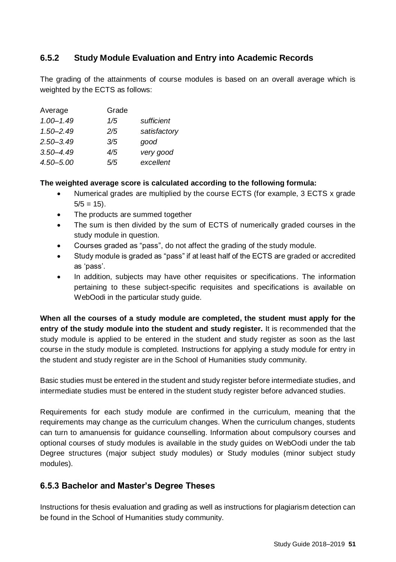# **6.5.2 Study Module Evaluation and Entry into Academic Records**

The grading of the attainments of course modules is based on an overall average which is weighted by the ECTS as follows:

| Average       | Grade |              |
|---------------|-------|--------------|
| $1.00 - 1.49$ | 1/5   | sufficient   |
| $1.50 - 2.49$ | 2/5   | satisfactory |
| $2.50 - 3.49$ | 3/5   | qood         |
| $3.50 - 4.49$ | 4/5   | very good    |
| $4.50 - 5.00$ | 5/5   | excellent    |

## **The weighted average score is calculated according to the following formula:**

- Numerical grades are multiplied by the course ECTS (for example, 3 ECTS x grade  $5/5 = 15$ .
- The products are summed together
- The sum is then divided by the sum of ECTS of numerically graded courses in the study module in question.
- Courses graded as "pass", do not affect the grading of the study module.
- Study module is graded as "pass" if at least half of the ECTS are graded or accredited as 'pass'.
- In addition, subjects may have other requisites or specifications. The information pertaining to these subject-specific requisites and specifications is available on WebOodi in the particular study guide.

**When all the courses of a study module are completed, the student must apply for the entry of the study module into the student and study register.** It is recommended that the study module is applied to be entered in the student and study register as soon as the last course in the study module is completed. Instructions for applying a study module for entry in the student and study register are in the School of Humanities study community.

Basic studies must be entered in the student and study register before intermediate studies, and intermediate studies must be entered in the student study register before advanced studies.

Requirements for each study module are confirmed in the curriculum, meaning that the requirements may change as the curriculum changes. When the curriculum changes, students can turn to amanuensis for guidance counselling. Information about compulsory courses and optional courses of study modules is available in the study guides on WebOodi under the tab Degree structures (major subject study modules) or Study modules (minor subject study modules).

# **6.5.3 Bachelor and Master's Degree Theses**

Instructions for thesis evaluation and grading as well as instructions for plagiarism detection can be found in the School of Humanities study community.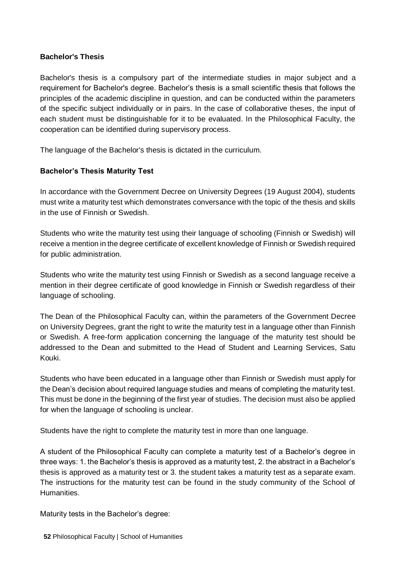### **Bachelor's Thesis**

Bachelor's thesis is a compulsory part of the intermediate studies in major subject and a requirement for Bachelor's degree. Bachelor's thesis is a small scientific thesis that follows the principles of the academic discipline in question, and can be conducted within the parameters of the specific subject individually or in pairs. In the case of collaborative theses, the input of each student must be distinguishable for it to be evaluated. In the Philosophical Faculty, the cooperation can be identified during supervisory process.

The language of the Bachelor's thesis is dictated in the curriculum.

## **Bachelor's Thesis Maturity Test**

In accordance with the Government Decree on University Degrees (19 August 2004), students must write a maturity test which demonstrates conversance with the topic of the thesis and skills in the use of Finnish or Swedish.

Students who write the maturity test using their language of schooling (Finnish or Swedish) will receive a mention in the degree certificate of excellent knowledge of Finnish or Swedish required for public administration.

Students who write the maturity test using Finnish or Swedish as a second language receive a mention in their degree certificate of good knowledge in Finnish or Swedish regardless of their language of schooling.

The Dean of the Philosophical Faculty can, within the parameters of the Government Decree on University Degrees, grant the right to write the maturity test in a language other than Finnish or Swedish. A free-form application concerning the language of the maturity test should be addressed to the Dean and submitted to the Head of Student and Learning Services, Satu Kouki.

Students who have been educated in a language other than Finnish or Swedish must apply for the Dean's decision about required language studies and means of completing the maturity test. This must be done in the beginning of the first year of studies. The decision must also be applied for when the language of schooling is unclear.

Students have the right to complete the maturity test in more than one language.

A student of the Philosophical Faculty can complete a maturity test of a Bachelor's degree in three ways: 1. the Bachelor's thesis is approved as a maturity test, 2. the abstract in a Bachelor's thesis is approved as a maturity test or 3. the student takes a maturity test as a separate exam. The instructions for the maturity test can be found in the study community of the School of **Humanities** 

Maturity tests in the Bachelor's degree: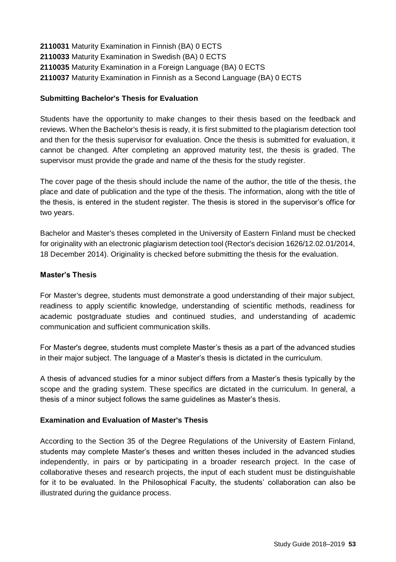Maturity Examination in Finnish (BA) 0 ECTS Maturity Examination in Swedish (BA) 0 ECTS 2110035 Maturity Examination in a Foreign Language (BA) 0 ECTS Maturity Examination in Finnish as a Second Language (BA) 0 ECTS

### **Submitting Bachelor's Thesis for Evaluation**

Students have the opportunity to make changes to their thesis based on the feedback and reviews. When the Bachelor's thesis is ready, it is first submitted to the plagiarism detection tool and then for the thesis supervisor for evaluation. Once the thesis is submitted for evaluation, it cannot be changed. After completing an approved maturity test, the thesis is graded. The supervisor must provide the grade and name of the thesis for the study register.

The cover page of the thesis should include the name of the author, the title of the thesis, the place and date of publication and the type of the thesis. The information, along with the title of the thesis, is entered in the student register. The thesis is stored in the supervisor's office for two years.

Bachelor and Master's theses completed in the University of Eastern Finland must be checked for originality with an electronic plagiarism detection tool (Rector's decision 1626/12.02.01/2014, 18 December 2014). Originality is checked before submitting the thesis for the evaluation.

### **Master's Thesis**

For Master's degree, students must demonstrate a good understanding of their major subject, readiness to apply scientific knowledge, understanding of scientific methods, readiness for academic postgraduate studies and continued studies, and understanding of academic communication and sufficient communication skills.

For Master's degree, students must complete Master's thesis as a part of the advanced studies in their major subject. The language of a Master's thesis is dictated in the curriculum.

A thesis of advanced studies for a minor subject differs from a Master's thesis typically by the scope and the grading system. These specifics are dictated in the curriculum. In general, a thesis of a minor subject follows the same guidelines as Master's thesis.

#### **Examination and Evaluation of Master's Thesis**

According to the Section 35 of the Degree Regulations of the University of Eastern Finland, students may complete Master's theses and written theses included in the advanced studies independently, in pairs or by participating in a broader research project. In the case of collaborative theses and research projects, the input of each student must be distinguishable for it to be evaluated. In the Philosophical Faculty, the students' collaboration can also be illustrated during the guidance process.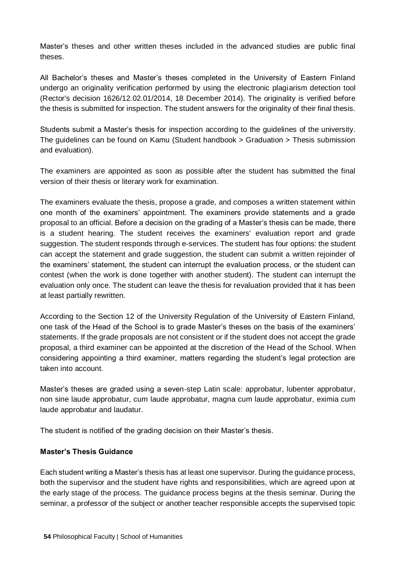Master's theses and other written theses included in the advanced studies are public final theses.

All Bachelor's theses and Master's theses completed in the University of Eastern Finland undergo an originality verification performed by using the electronic plagiarism detection tool (Rector's decision 1626/12.02.01/2014, 18 December 2014). The originality is verified before the thesis is submitted for inspection. The student answers for the originality of their final thesis.

Students submit a Master's thesis for inspection according to the guidelines of the university. The guidelines can be found on Kamu (Student handbook > Graduation > Thesis submission and evaluation).

The examiners are appointed as soon as possible after the student has submitted the final version of their thesis or literary work for examination.

The examiners evaluate the thesis, propose a grade, and composes a written statement within one month of the examiners' appointment. The examiners provide statements and a grade proposal to an official. Before a decision on the grading of a Master's thesis can be made, there is a student hearing. The student receives the examiners' evaluation report and grade suggestion. The student responds through e-services. The student has four options: the student can accept the statement and grade suggestion, the student can submit a written rejoinder of the examiners' statement, the student can interrupt the evaluation process, or the student can contest (when the work is done together with another student). The student can interrupt the evaluation only once. The student can leave the thesis for revaluation provided that it has been at least partially rewritten.

According to the Section 12 of the University Regulation of the University of Eastern Finland, one task of the Head of the School is to grade Master's theses on the basis of the examiners' statements. If the grade proposals are not consistent or if the student does not accept the grade proposal, a third examiner can be appointed at the discretion of the Head of the School. When considering appointing a third examiner, matters regarding the student's legal protection are taken into account.

Master's theses are graded using a seven-step Latin scale: approbatur, lubenter approbatur, non sine laude approbatur, cum laude approbatur, magna cum laude approbatur, eximia cum laude approbatur and laudatur.

The student is notified of the grading decision on their Master's thesis.

### **Master's Thesis Guidance**

Each student writing a Master's thesis has at least one supervisor. During the guidance process, both the supervisor and the student have rights and responsibilities, which are agreed upon at the early stage of the process. The guidance process begins at the thesis seminar. During the seminar, a professor of the subject or another teacher responsible accepts the supervised topic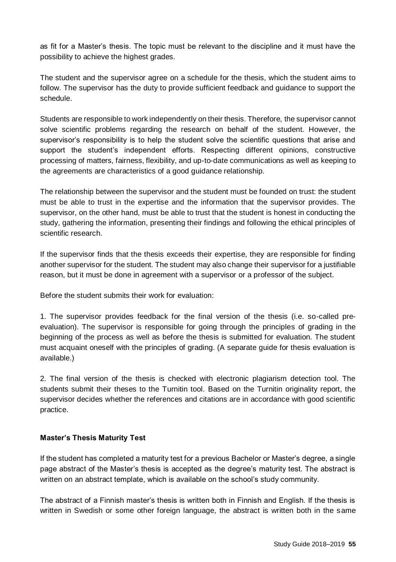as fit for a Master's thesis. The topic must be relevant to the discipline and it must have the possibility to achieve the highest grades.

The student and the supervisor agree on a schedule for the thesis, which the student aims to follow. The supervisor has the duty to provide sufficient feedback and guidance to support the schedule.

Students are responsible to work independently on their thesis. Therefore, the supervisor cannot solve scientific problems regarding the research on behalf of the student. However, the supervisor's responsibility is to help the student solve the scientific questions that arise and support the student's independent efforts. Respecting different opinions, constructive processing of matters, fairness, flexibility, and up-to-date communications as well as keeping to the agreements are characteristics of a good guidance relationship.

The relationship between the supervisor and the student must be founded on trust: the student must be able to trust in the expertise and the information that the supervisor provides. The supervisor, on the other hand, must be able to trust that the student is honest in conducting the study, gathering the information, presenting their findings and following the ethical principles of scientific research.

If the supervisor finds that the thesis exceeds their expertise, they are responsible for finding another supervisor for the student. The student may also change their supervisor for a justifiable reason, but it must be done in agreement with a supervisor or a professor of the subject.

Before the student submits their work for evaluation:

1. The supervisor provides feedback for the final version of the thesis (i.e. so-called preevaluation). The supervisor is responsible for going through the principles of grading in the beginning of the process as well as before the thesis is submitted for evaluation. The student must acquaint oneself with the principles of grading. (A separate guide for thesis evaluation is available.)

2. The final version of the thesis is checked with electronic plagiarism detection tool. The students submit their theses to the Turnitin tool. Based on the Turnitin originality report, the supervisor decides whether the references and citations are in accordance with good scientific practice.

## **Master's Thesis Maturity Test**

If the student has completed a maturity test for a previous Bachelor or Master's degree, a single page abstract of the Master's thesis is accepted as the degree's maturity test. The abstract is written on an abstract template, which is available on the school's study community.

The abstract of a Finnish master's thesis is written both in Finnish and English. If the thesis is written in Swedish or some other foreign language, the abstract is written both in the same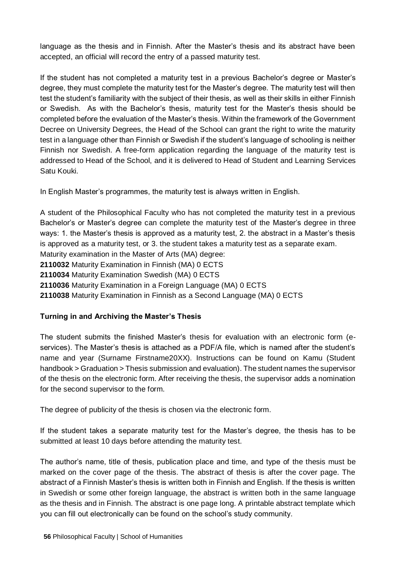language as the thesis and in Finnish. After the Master's thesis and its abstract have been accepted, an official will record the entry of a passed maturity test.

If the student has not completed a maturity test in a previous Bachelor's degree or Master's degree, they must complete the maturity test for the Master's degree. The maturity test will then test the student's familiarity with the subject of their thesis, as well as their skills in either Finnish or Swedish. As with the Bachelor's thesis, maturity test for the Master's thesis should be completed before the evaluation of the Master's thesis. Within the framework of the Government Decree on University Degrees, the Head of the School can grant the right to write the maturity test in a language other than Finnish or Swedish if the student's language of schooling is neither Finnish nor Swedish. A free-form application regarding the language of the maturity test is addressed to Head of the School, and it is delivered to Head of Student and Learning Services Satu Kouki.

In English Master's programmes, the maturity test is always written in English.

A student of the Philosophical Faculty who has not completed the maturity test in a previous Bachelor's or Master's degree can complete the maturity test of the Master's degree in three ways: 1. the Master's thesis is approved as a maturity test, 2. the abstract in a Master's thesis is approved as a maturity test, or 3. the student takes a maturity test as a separate exam. Maturity examination in the Master of Arts (MA) degree: **2110032** Maturity Examination in Finnish (MA) 0 ECTS **2110034** Maturity Examination Swedish (MA) 0 ECTS **2110036** Maturity Examination in a Foreign Language (MA) 0 ECTS **2110038** Maturity Examination in Finnish as a Second Language (MA) 0 ECTS

# **Turning in and Archiving the Master's Thesis**

The student submits the finished Master's thesis for evaluation with an electronic form (eservices). The Master's thesis is attached as a PDF/A file, which is named after the student's name and year (Surname Firstname20XX). Instructions can be found on Kamu (Student handbook > Graduation > Thesis submission and evaluation). The student names the supervisor of the thesis on the electronic form. After receiving the thesis, the supervisor adds a nomination for the second supervisor to the form.

The degree of publicity of the thesis is chosen via the electronic form.

If the student takes a separate maturity test for the Master's degree, the thesis has to be submitted at least 10 days before attending the maturity test.

The author's name, title of thesis, publication place and time, and type of the thesis must be marked on the cover page of the thesis. The abstract of thesis is after the cover page. The abstract of a Finnish Master's thesis is written both in Finnish and English. If the thesis is written in Swedish or some other foreign language, the abstract is written both in the same language as the thesis and in Finnish. The abstract is one page long. A printable abstract template which you can fill out electronically can be found on the school's study community.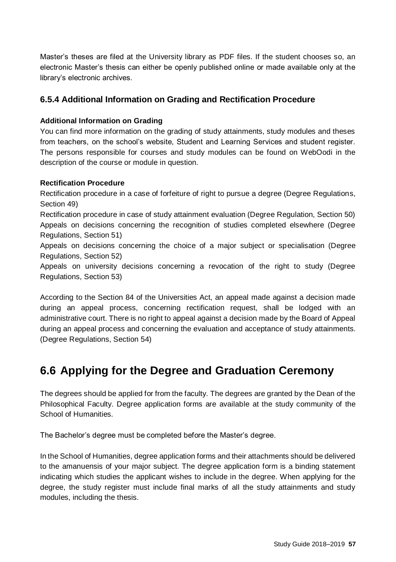Master's theses are filed at the University library as PDF files. If the student chooses so, an electronic Master's thesis can either be openly published online or made available only at the library's electronic archives.

# **6.5.4 Additional Information on Grading and Rectification Procedure**

### **Additional Information on Grading**

You can find more information on the grading of study attainments, study modules and theses from teachers, on the school's website, Student and Learning Services and student register. The persons responsible for courses and study modules can be found on WebOodi in the description of the course or module in question.

### **Rectification Procedure**

Rectification procedure in a case of forfeiture of right to pursue a degree (Degree Regulations, Section 49) Rectification procedure in case of study attainment evaluation (Degree Regulation, Section 50) Appeals on decisions concerning the recognition of studies completed elsewhere (Degree Regulations, Section 51) Appeals on decisions concerning the choice of a major subject or specialisation (Degree Regulations, Section 52) Appeals on university decisions concerning a revocation of the right to study (Degree Regulations, Section 53)

According to the Section 84 of the Universities Act, an appeal made against a decision made during an appeal process, concerning rectification request, shall be lodged with an administrative court. There is no right to appeal against a decision made by the Board of Appeal during an appeal process and concerning the evaluation and acceptance of study attainments. (Degree Regulations, Section 54)

# **6.6 Applying for the Degree and Graduation Ceremony**

The degrees should be applied for from the faculty. The degrees are granted by the Dean of the Philosophical Faculty. Degree application forms are available at the study community of the School of Humanities.

The Bachelor's degree must be completed before the Master's degree.

In the School of Humanities, degree application forms and their attachments should be delivered to the amanuensis of your major subject. The degree application form is a binding statement indicating which studies the applicant wishes to include in the degree. When applying for the degree, the study register must include final marks of all the study attainments and study modules, including the thesis.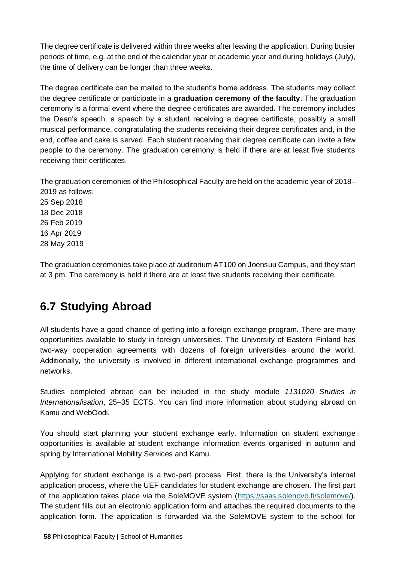The degree certificate is delivered within three weeks after leaving the application. During busier periods of time, e.g. at the end of the calendar year or academic year and during holidays (July), the time of delivery can be longer than three weeks.

The degree certificate can be mailed to the student's home address. The students may collect the degree certificate or participate in a **graduation ceremony of the faculty**. The graduation ceremony is a formal event where the degree certificates are awarded. The ceremony includes the Dean's speech, a speech by a student receiving a degree certificate, possibly a small musical performance, congratulating the students receiving their degree certificates and, in the end, coffee and cake is served. Each student receiving their degree certificate can invite a few people to the ceremony. The graduation ceremony is held if there are at least five students receiving their certificates.

The graduation ceremonies of the Philosophical Faculty are held on the academic year of 2018– 2019 as follows:

The graduation ceremonies take place at auditorium AT100 on Joensuu Campus, and they start at 3 pm. The ceremony is held if there are at least five students receiving their certificate.

# **6.7 Studying Abroad**

All students have a good chance of getting into a foreign exchange program. There are many opportunities available to study in foreign universities. The University of Eastern Finland has two-way cooperation agreements with dozens of foreign universities around the world. Additionally, the university is involved in different international exchange programmes and networks.

Studies completed abroad can be included in the study module *1131020 Studies in Internationalisation*, 25–35 ECTS. You can find more information about studying abroad on Kamu and WebOodi.

You should start planning your student exchange early. Information on student exchange opportunities is available at student exchange information events organised in autumn and spring by International Mobility Services and Kamu.

Applying for student exchange is a two-part process. First, there is the University's internal application process, where the UEF candidates for student exchange are chosen. The first part of the application takes place via the SoleMOVE system [\(https://saas.solenovo.fi/solemove/\)](https://saas.solenovo.fi/solemove/). The student fills out an electronic application form and attaches the required documents to the application form. The application is forwarded via the SoleMOVE system to the school for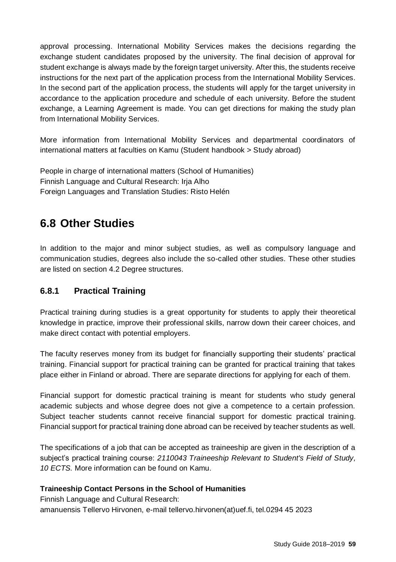approval processing. International Mobility Services makes the decisions regarding the exchange student candidates proposed by the university. The final decision of approval for student exchange is always made by the foreign target university. After this, the students receive instructions for the next part of the application process from the International Mobility Services. In the second part of the application process, the students will apply for the target university in accordance to the application procedure and schedule of each university. Before the student exchange, a Learning Agreement is made. You can get directions for making the study plan from International Mobility Services.

More information from International Mobility Services and departmental coordinators of international matters at faculties on Kamu (Student handbook > Study abroad)

People in charge of international matters (School of Humanities) Finnish Language and Cultural Research: Irja Alho Foreign Languages and Translation Studies: Risto Helén

# **6.8 Other Studies**

In addition to the major and minor subject studies, as well as compulsory language and communication studies, degrees also include the so-called other studies. These other studies are listed on section 4.2 Degree structures.

# **6.8.1 Practical Training**

Practical training during studies is a great opportunity for students to apply their theoretical knowledge in practice, improve their professional skills, narrow down their career choices, and make direct contact with potential employers.

The faculty reserves money from its budget for financially supporting their students' practical training. Financial support for practical training can be granted for practical training that takes place either in Finland or abroad. There are separate directions for applying for each of them.

Financial support for domestic practical training is meant for students who study general academic subjects and whose degree does not give a competence to a certain profession. Subject teacher students cannot receive financial support for domestic practical training. Financial support for practical training done abroad can be received by teacher students as well.

The specifications of a job that can be accepted as traineeship are given in the description of a subject's practical training course: *2110043 Traineeship Relevant to Student's Field of Study, 10 ECTS.* More information can be found on Kamu.

# **Traineeship Contact Persons in the School of Humanities**

Finnish Language and Cultural Research: amanuensis Tellervo Hirvonen, e-mail tellervo.hirvonen(at)uef.fi, tel.0294 45 2023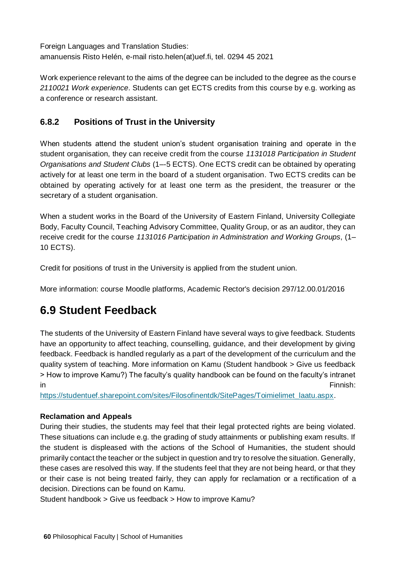Foreign Languages and Translation Studies: amanuensis Risto Helén, e-mail risto.helen(at)uef.fi, tel. 0294 45 2021

Work experience relevant to the aims of the degree can be included to the degree as the cours e *2110021 Work experience*. Students can get ECTS credits from this course by e.g. working as a conference or research assistant.

# **6.8.2 Positions of Trust in the University**

When students attend the student union's student organisation training and operate in the student organisation, they can receive credit from the course *1131018 Participation in Student Organisations and Student Clubs* (1–-5 ECTS). One ECTS credit can be obtained by operating actively for at least one term in the board of a student organisation. Two ECTS credits can be obtained by operating actively for at least one term as the president, the treasurer or the secretary of a student organisation.

When a student works in the Board of the University of Eastern Finland, University Collegiate Body, Faculty Council, Teaching Advisory Committee, Quality Group, or as an auditor, they can receive credit for the course *1131016 Participation in Administration and Working Groups*, (1– 10 ECTS).

Credit for positions of trust in the University is applied from the student union.

More information: course Moodle platforms, Academic Rector's decision 297/12.00.01/2016

# **6.9 Student Feedback**

The students of the University of Eastern Finland have several ways to give feedback. Students have an opportunity to affect teaching, counselling, guidance, and their development by giving feedback. Feedback is handled regularly as a part of the development of the curriculum and the quality system of teaching. More information on Kamu (Student handbook > Give us feedback > How to improve Kamu?) The faculty's quality handbook can be found on the faculty's intranet in Finnish: **Finnish:** The contract of the contract of the contract of the contract of the contract of the contract of the contract of the contract of the contract of the contract of the contract of the contract of the con

[https://studentuef.sharepoint.com/sites/Filosofinentdk/SitePages/Toimielimet\\_laatu.aspx.](https://studentuef.sharepoint.com/sites/Filosofinentdk/SitePages/Toimielimet_laatu.aspx) 

## **Reclamation and Appeals**

During their studies, the students may feel that their legal protected rights are being violated. These situations can include e.g. the grading of study attainments or publishing exam results. If the student is displeased with the actions of the School of Humanities, the student should primarily contact the teacher or the subject in question and try to resolve the situation. Generally, these cases are resolved this way. If the students feel that they are not being heard, or that they or their case is not being treated fairly, they can apply for reclamation or a rectification of a decision. Directions can be found on Kamu.

Student handbook > Give us feedback > How to improve Kamu?